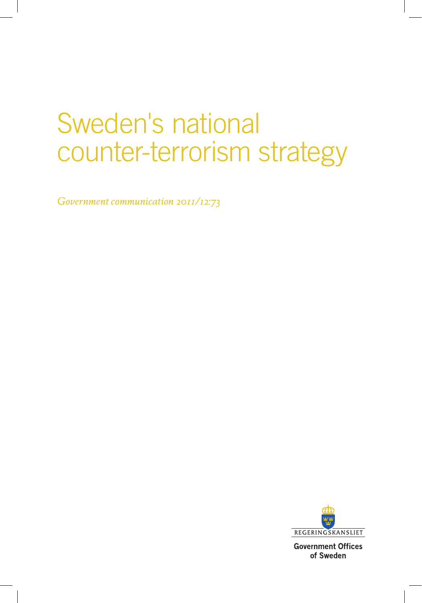# Sweden's national counter-terrorism strategy

*Government communication 2011/12:73*



**Government Offices** of Sweden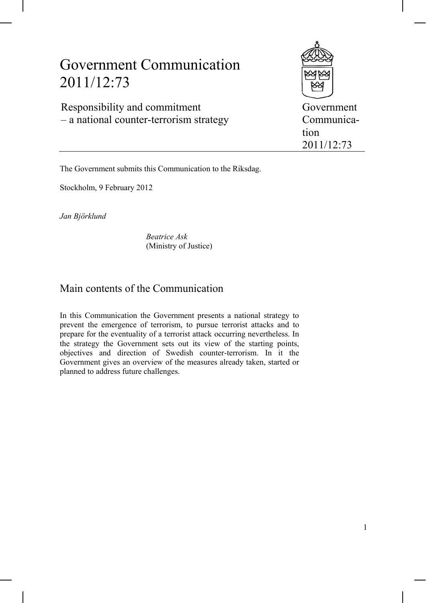## Government Communication 2011/12:73

Responsibility and commitment – a national counter-terrorism strategy



Government Communication 2011/12:73

The Government submits this Communication to the Riksdag.

Stockholm, 9 February 2012

*Jan Björklund*

*Beatrice Ask* (Ministry of Justice)

## Main contents of the Communication

In this Communication the Government presents a national strategy to prevent the emergence of terrorism, to pursue terrorist attacks and to prepare for the eventuality of a terrorist attack occurring nevertheless. In the strategy the Government sets out its view of the starting points, objectives and direction of Swedish counter-terrorism. In it the Government gives an overview of the measures already taken, started or planned to address future challenges.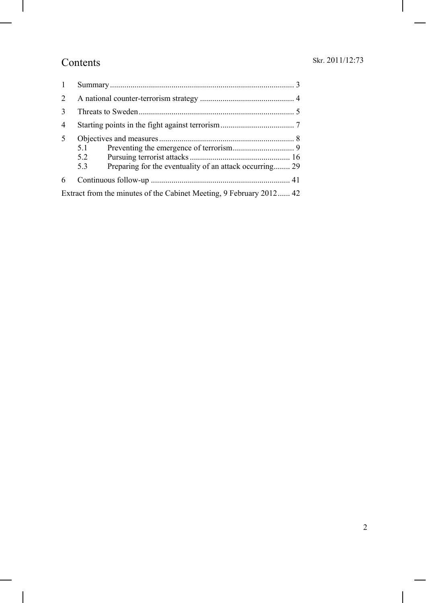## Contents

| 2<br>$\mathcal{E}$<br>4<br>5<br>5.1<br>5.2<br>Preparing for the eventuality of an attack occurring 29<br>5.3<br>6<br>Extract from the minutes of the Cabinet Meeting, 9 February 2012 42 |  |  |  |
|------------------------------------------------------------------------------------------------------------------------------------------------------------------------------------------|--|--|--|
|                                                                                                                                                                                          |  |  |  |
|                                                                                                                                                                                          |  |  |  |
|                                                                                                                                                                                          |  |  |  |
|                                                                                                                                                                                          |  |  |  |
|                                                                                                                                                                                          |  |  |  |
|                                                                                                                                                                                          |  |  |  |
|                                                                                                                                                                                          |  |  |  |
|                                                                                                                                                                                          |  |  |  |
|                                                                                                                                                                                          |  |  |  |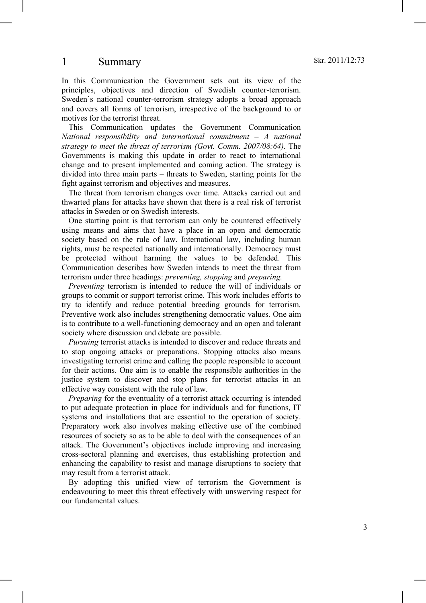## 1 Summary

In this Communication the Government sets out its view of the principles, objectives and direction of Swedish counter-terrorism. Sweden's national counter-terrorism strategy adopts a broad approach and covers all forms of terrorism, irrespective of the background to or motives for the terrorist threat.

This Communication updates the Government Communication *National responsibility and international commitment – A national strategy to meet the threat of terrorism (Govt. Comm. 2007/08:64)*. The Governments is making this update in order to react to international change and to present implemented and coming action. The strategy is divided into three main parts – threats to Sweden, starting points for the fight against terrorism and objectives and measures.

The threat from terrorism changes over time. Attacks carried out and thwarted plans for attacks have shown that there is a real risk of terrorist attacks in Sweden or on Swedish interests.

One starting point is that terrorism can only be countered effectively using means and aims that have a place in an open and democratic society based on the rule of law. International law, including human rights, must be respected nationally and internationally. Democracy must be protected without harming the values to be defended. This Communication describes how Sweden intends to meet the threat from terrorism under three headings: *preventing, stopping* and *preparing.* 

*Preventing* terrorism is intended to reduce the will of individuals or groups to commit or support terrorist crime. This work includes efforts to try to identify and reduce potential breeding grounds for terrorism. Preventive work also includes strengthening democratic values. One aim is to contribute to a well-functioning democracy and an open and tolerant society where discussion and debate are possible.

*Pursuing* terrorist attacks is intended to discover and reduce threats and to stop ongoing attacks or preparations. Stopping attacks also means investigating terrorist crime and calling the people responsible to account for their actions. One aim is to enable the responsible authorities in the justice system to discover and stop plans for terrorist attacks in an effective way consistent with the rule of law.

*Preparing* for the eventuality of a terrorist attack occurring is intended to put adequate protection in place for individuals and for functions, IT systems and installations that are essential to the operation of society. Preparatory work also involves making effective use of the combined resources of society so as to be able to deal with the consequences of an attack. The Government's objectives include improving and increasing cross-sectoral planning and exercises, thus establishing protection and enhancing the capability to resist and manage disruptions to society that may result from a terrorist attack.

By adopting this unified view of terrorism the Government is endeavouring to meet this threat effectively with unswerving respect for our fundamental values.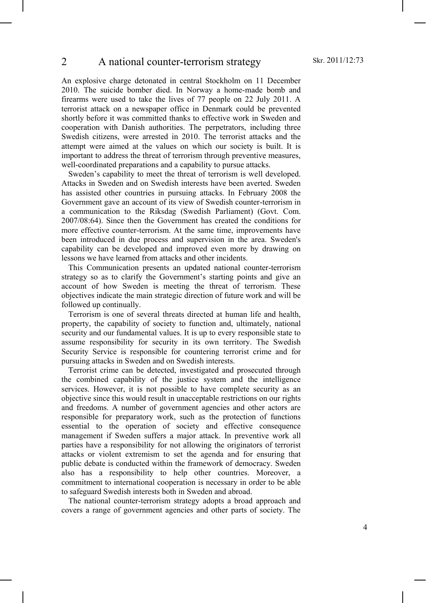#### 2 A national counter-terrorism strategy

An explosive charge detonated in central Stockholm on 11 December 2010. The suicide bomber died. In Norway a home-made bomb and firearms were used to take the lives of 77 people on 22 July 2011. A terrorist attack on a newspaper office in Denmark could be prevented shortly before it was committed thanks to effective work in Sweden and cooperation with Danish authorities. The perpetrators, including three Swedish citizens, were arrested in 2010. The terrorist attacks and the attempt were aimed at the values on which our society is built. It is important to address the threat of terrorism through preventive measures, well-coordinated preparations and a capability to pursue attacks.

Sweden's capability to meet the threat of terrorism is well developed. Attacks in Sweden and on Swedish interests have been averted. Sweden has assisted other countries in pursuing attacks. In February 2008 the Government gave an account of its view of Swedish counter-terrorism in a communication to the Riksdag (Swedish Parliament) (Govt. Com. 2007/08:64). Since then the Government has created the conditions for more effective counter-terrorism. At the same time, improvements have been introduced in due process and supervision in the area. Sweden's capability can be developed and improved even more by drawing on lessons we have learned from attacks and other incidents.

This Communication presents an updated national counter-terrorism strategy so as to clarify the Government's starting points and give an account of how Sweden is meeting the threat of terrorism. These objectives indicate the main strategic direction of future work and will be followed up continually.

Terrorism is one of several threats directed at human life and health, property, the capability of society to function and, ultimately, national security and our fundamental values. It is up to every responsible state to assume responsibility for security in its own territory. The Swedish Security Service is responsible for countering terrorist crime and for pursuing attacks in Sweden and on Swedish interests.

Terrorist crime can be detected, investigated and prosecuted through the combined capability of the justice system and the intelligence services. However, it is not possible to have complete security as an objective since this would result in unacceptable restrictions on our rights and freedoms. A number of government agencies and other actors are responsible for preparatory work, such as the protection of functions essential to the operation of society and effective consequence management if Sweden suffers a major attack. In preventive work all parties have a responsibility for not allowing the originators of terrorist attacks or violent extremism to set the agenda and for ensuring that public debate is conducted within the framework of democracy. Sweden also has a responsibility to help other countries. Moreover, a commitment to international cooperation is necessary in order to be able to safeguard Swedish interests both in Sweden and abroad.

The national counter-terrorism strategy adopts a broad approach and covers a range of government agencies and other parts of society. The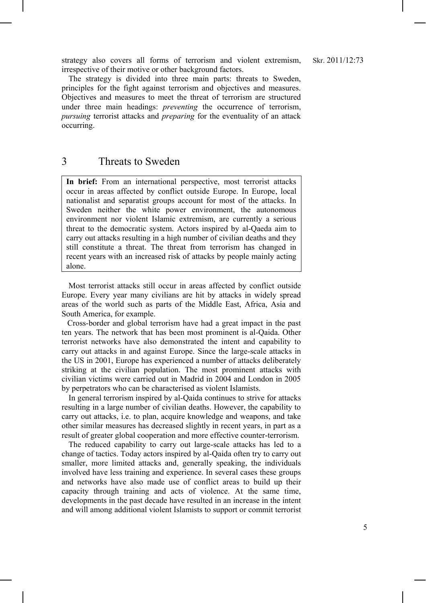strategy also covers all forms of terrorism and violent extremism, irrespective of their motive or other background factors.

The strategy is divided into three main parts: threats to Sweden, principles for the fight against terrorism and objectives and measures. Objectives and measures to meet the threat of terrorism are structured under three main headings: *preventing* the occurrence of terrorism, *pursuing* terrorist attacks and *preparing* for the eventuality of an attack occurring.

## 3 Threats to Sweden

**In brief:** From an international perspective, most terrorist attacks occur in areas affected by conflict outside Europe. In Europe, local nationalist and separatist groups account for most of the attacks. In Sweden neither the white power environment, the autonomous environment nor violent Islamic extremism, are currently a serious threat to the democratic system. Actors inspired by al-Qaeda aim to carry out attacks resulting in a high number of civilian deaths and they still constitute a threat. The threat from terrorism has changed in recent years with an increased risk of attacks by people mainly acting alone.

Most terrorist attacks still occur in areas affected by conflict outside Europe. Every year many civilians are hit by attacks in widely spread areas of the world such as parts of the Middle East, Africa, Asia and South America, for example.

Cross-border and global terrorism have had a great impact in the past ten years. The network that has been most prominent is al-Qaida. Other terrorist networks have also demonstrated the intent and capability to carry out attacks in and against Europe. Since the large-scale attacks in the US in 2001, Europe has experienced a number of attacks deliberately striking at the civilian population. The most prominent attacks with civilian victims were carried out in Madrid in 2004 and London in 2005 by perpetrators who can be characterised as violent Islamists.

In general terrorism inspired by al-Qaida continues to strive for attacks resulting in a large number of civilian deaths. However, the capability to carry out attacks, i.e. to plan, acquire knowledge and weapons, and take other similar measures has decreased slightly in recent years, in part as a result of greater global cooperation and more effective counter-terrorism.

The reduced capability to carry out large-scale attacks has led to a change of tactics. Today actors inspired by al-Qaida often try to carry out smaller, more limited attacks and, generally speaking, the individuals involved have less training and experience. In several cases these groups and networks have also made use of conflict areas to build up their capacity through training and acts of violence. At the same time, developments in the past decade have resulted in an increase in the intent and will among additional violent Islamists to support or commit terrorist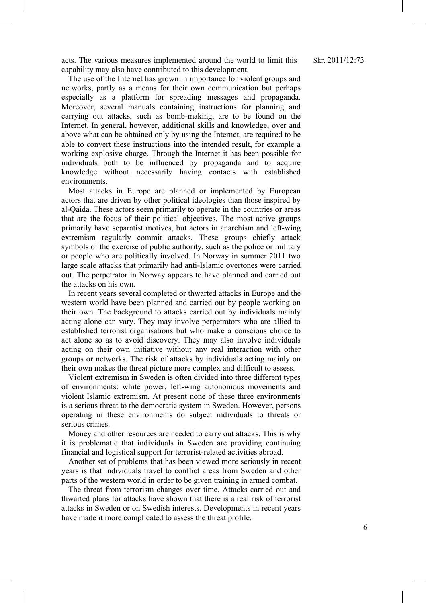acts. The various measures implemented around the world to limit this capability may also have contributed to this development.

The use of the Internet has grown in importance for violent groups and networks, partly as a means for their own communication but perhaps especially as a platform for spreading messages and propaganda. Moreover, several manuals containing instructions for planning and carrying out attacks, such as bomb-making, are to be found on the Internet. In general, however, additional skills and knowledge, over and above what can be obtained only by using the Internet, are required to be able to convert these instructions into the intended result, for example a working explosive charge. Through the Internet it has been possible for individuals both to be influenced by propaganda and to acquire knowledge without necessarily having contacts with established environments.

Most attacks in Europe are planned or implemented by European actors that are driven by other political ideologies than those inspired by al-Qaida. These actors seem primarily to operate in the countries or areas that are the focus of their political objectives. The most active groups primarily have separatist motives, but actors in anarchism and left-wing extremism regularly commit attacks. These groups chiefly attack symbols of the exercise of public authority, such as the police or military or people who are politically involved. In Norway in summer 2011 two large scale attacks that primarily had anti-Islamic overtones were carried out. The perpetrator in Norway appears to have planned and carried out the attacks on his own.

In recent years several completed or thwarted attacks in Europe and the western world have been planned and carried out by people working on their own. The background to attacks carried out by individuals mainly acting alone can vary. They may involve perpetrators who are allied to established terrorist organisations but who make a conscious choice to act alone so as to avoid discovery. They may also involve individuals acting on their own initiative without any real interaction with other groups or networks. The risk of attacks by individuals acting mainly on their own makes the threat picture more complex and difficult to assess.

Violent extremism in Sweden is often divided into three different types of environments: white power, left-wing autonomous movements and violent Islamic extremism. At present none of these three environments is a serious threat to the democratic system in Sweden. However, persons operating in these environments do subject individuals to threats or serious crimes.

Money and other resources are needed to carry out attacks. This is why it is problematic that individuals in Sweden are providing continuing financial and logistical support for terrorist-related activities abroad.

Another set of problems that has been viewed more seriously in recent years is that individuals travel to conflict areas from Sweden and other parts of the western world in order to be given training in armed combat.

The threat from terrorism changes over time. Attacks carried out and thwarted plans for attacks have shown that there is a real risk of terrorist attacks in Sweden or on Swedish interests. Developments in recent years have made it more complicated to assess the threat profile.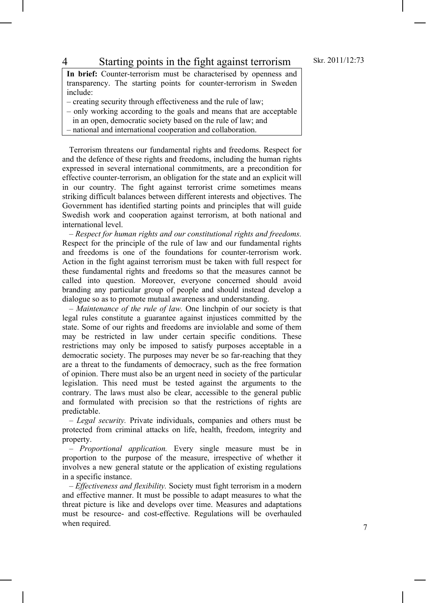### 4 Starting points in the fight against terrorism

**In brief:** Counter-terrorism must be characterised by openness and transparency. The starting points for counter-terrorism in Sweden include:

- creating security through effectiveness and the rule of law;
- only working according to the goals and means that are acceptable
- in an open, democratic society based on the rule of law; and
- national and international cooperation and collaboration.

Terrorism threatens our fundamental rights and freedoms. Respect for and the defence of these rights and freedoms, including the human rights expressed in several international commitments, are a precondition for effective counter-terrorism, an obligation for the state and an explicit will in our country. The fight against terrorist crime sometimes means striking difficult balances between different interests and objectives. The Government has identified starting points and principles that will guide Swedish work and cooperation against terrorism, at both national and international level.

*– Respect for human rights and our constitutional rights and freedoms.* Respect for the principle of the rule of law and our fundamental rights and freedoms is one of the foundations for counter-terrorism work. Action in the fight against terrorism must be taken with full respect for these fundamental rights and freedoms so that the measures cannot be called into question. Moreover, everyone concerned should avoid branding any particular group of people and should instead develop a dialogue so as to promote mutual awareness and understanding.

*– Maintenance of the rule of law.* One linchpin of our society is that legal rules constitute a guarantee against injustices committed by the state. Some of our rights and freedoms are inviolable and some of them may be restricted in law under certain specific conditions. These restrictions may only be imposed to satisfy purposes acceptable in a democratic society. The purposes may never be so far-reaching that they are a threat to the fundaments of democracy, such as the free formation of opinion. There must also be an urgent need in society of the particular legislation. This need must be tested against the arguments to the contrary. The laws must also be clear, accessible to the general public and formulated with precision so that the restrictions of rights are predictable.

– *Legal security.* Private individuals, companies and others must be protected from criminal attacks on life, health, freedom, integrity and property.

*– Proportional application.* Every single measure must be in proportion to the purpose of the measure, irrespective of whether it involves a new general statute or the application of existing regulations in a specific instance.

– *Effectiveness and flexibility.* Society must fight terrorism in a modern and effective manner. It must be possible to adapt measures to what the threat picture is like and develops over time. Measures and adaptations must be resource- and cost-effective. Regulations will be overhauled when required.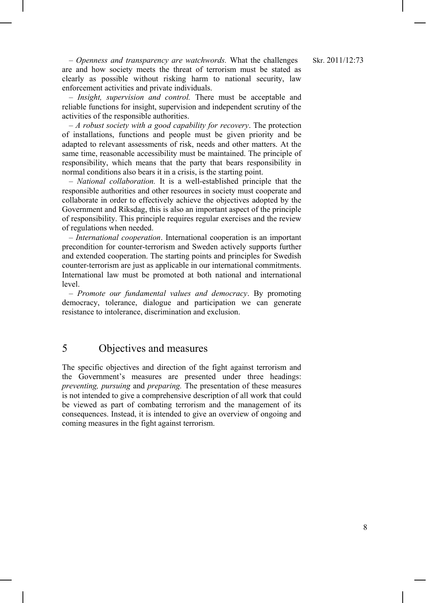– *Openness and transparency are watchwords.* What the challenges are and how society meets the threat of terrorism must be stated as clearly as possible without risking harm to national security, law enforcement activities and private individuals.

– *Insight, supervision and control.* There must be acceptable and reliable functions for insight, supervision and independent scrutiny of the activities of the responsible authorities.

– *A robust society with a good capability for recovery*. The protection of installations, functions and people must be given priority and be adapted to relevant assessments of risk, needs and other matters. At the same time, reasonable accessibility must be maintained. The principle of responsibility, which means that the party that bears responsibility in normal conditions also bears it in a crisis, is the starting point.

*– National collaboration.* It is a well-established principle that the responsible authorities and other resources in society must cooperate and collaborate in order to effectively achieve the objectives adopted by the Government and Riksdag, this is also an important aspect of the principle of responsibility. This principle requires regular exercises and the review of regulations when needed.

– *International cooperation*. International cooperation is an important precondition for counter-terrorism and Sweden actively supports further and extended cooperation. The starting points and principles for Swedish counter-terrorism are just as applicable in our international commitments. International law must be promoted at both national and international level.

– *Promote our fundamental values and democracy*. By promoting democracy, tolerance, dialogue and participation we can generate resistance to intolerance, discrimination and exclusion.

## 5 Objectives and measures

The specific objectives and direction of the fight against terrorism and the Government's measures are presented under three headings: *preventing, pursuing* and *preparing.* The presentation of these measures is not intended to give a comprehensive description of all work that could be viewed as part of combating terrorism and the management of its consequences. Instead, it is intended to give an overview of ongoing and coming measures in the fight against terrorism.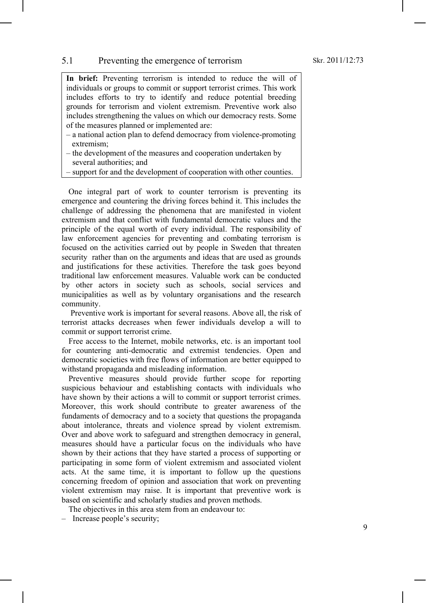#### 5.1 Preventing the emergence of terrorism

**In brief:** Preventing terrorism is intended to reduce the will of individuals or groups to commit or support terrorist crimes. This work includes efforts to try to identify and reduce potential breeding grounds for terrorism and violent extremism. Preventive work also includes strengthening the values on which our democracy rests. Some of the measures planned or implemented are:

- a national action plan to defend democracy from violence-promoting extremism;
- the development of the measures and cooperation undertaken by several authorities; and
- support for and the development of cooperation with other counties.

One integral part of work to counter terrorism is preventing its emergence and countering the driving forces behind it. This includes the challenge of addressing the phenomena that are manifested in violent extremism and that conflict with fundamental democratic values and the principle of the equal worth of every individual. The responsibility of law enforcement agencies for preventing and combating terrorism is focused on the activities carried out by people in Sweden that threaten security rather than on the arguments and ideas that are used as grounds and justifications for these activities. Therefore the task goes beyond traditional law enforcement measures. Valuable work can be conducted by other actors in society such as schools, social services and municipalities as well as by voluntary organisations and the research community.

Preventive work is important for several reasons. Above all, the risk of terrorist attacks decreases when fewer individuals develop a will to commit or support terrorist crime.

Free access to the Internet, mobile networks, etc. is an important tool for countering anti-democratic and extremist tendencies. Open and democratic societies with free flows of information are better equipped to withstand propaganda and misleading information.

Preventive measures should provide further scope for reporting suspicious behaviour and establishing contacts with individuals who have shown by their actions a will to commit or support terrorist crimes. Moreover, this work should contribute to greater awareness of the fundaments of democracy and to a society that questions the propaganda about intolerance, threats and violence spread by violent extremism. Over and above work to safeguard and strengthen democracy in general, measures should have a particular focus on the individuals who have shown by their actions that they have started a process of supporting or participating in some form of violent extremism and associated violent acts. At the same time, it is important to follow up the questions concerning freedom of opinion and association that work on preventing violent extremism may raise. It is important that preventive work is based on scientific and scholarly studies and proven methods.

The objectives in this area stem from an endeavour to:

– Increase people's security;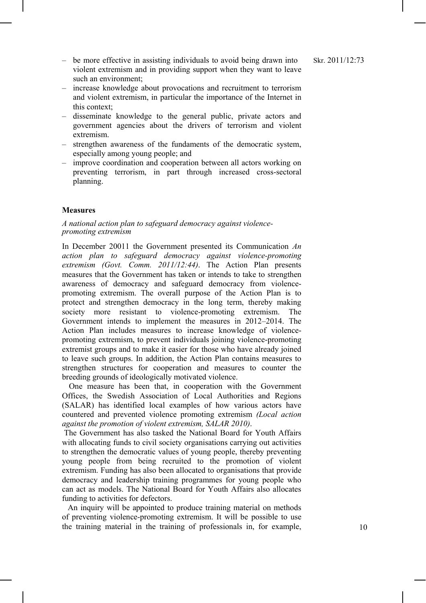- be more effective in assisting individuals to avoid being drawn into violent extremism and in providing support when they want to leave such an environment;
- increase knowledge about provocations and recruitment to terrorism and violent extremism, in particular the importance of the Internet in this context;
- disseminate knowledge to the general public, private actors and government agencies about the drivers of terrorism and violent extremism.
- strengthen awareness of the fundaments of the democratic system, especially among young people; and
- improve coordination and cooperation between all actors working on preventing terrorism, in part through increased cross-sectoral planning.

#### **Measures**

#### *A national action plan to safeguard democracy against violencepromoting extremism*

In December 20011 the Government presented its Communication *An action plan to safeguard democracy against violence-promoting extremism (Govt. Comm. 2011/12:44)*. The Action Plan presents measures that the Government has taken or intends to take to strengthen awareness of democracy and safeguard democracy from violencepromoting extremism. The overall purpose of the Action Plan is to protect and strengthen democracy in the long term, thereby making society more resistant to violence-promoting extremism. The Government intends to implement the measures in 2012–2014. The Action Plan includes measures to increase knowledge of violencepromoting extremism, to prevent individuals joining violence-promoting extremist groups and to make it easier for those who have already joined to leave such groups. In addition, the Action Plan contains measures to strengthen structures for cooperation and measures to counter the breeding grounds of ideologically motivated violence.

One measure has been that, in cooperation with the Government Offices, the Swedish Association of Local Authorities and Regions (SALAR) has identified local examples of how various actors have countered and prevented violence promoting extremism *(Local action against the promotion of violent extremism, SALAR 2010)*.

The Government has also tasked the National Board for Youth Affairs with allocating funds to civil society organisations carrying out activities to strengthen the democratic values of young people, thereby preventing young people from being recruited to the promotion of violent extremism. Funding has also been allocated to organisations that provide democracy and leadership training programmes for young people who can act as models. The National Board for Youth Affairs also allocates funding to activities for defectors.

An inquiry will be appointed to produce training material on methods of preventing violence-promoting extremism. It will be possible to use the training material in the training of professionals in, for example,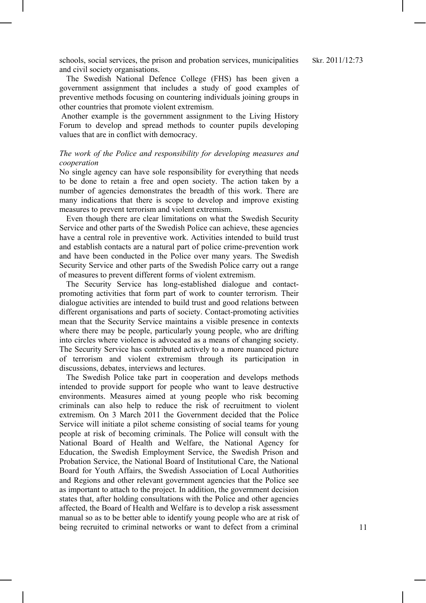schools, social services, the prison and probation services, municipalities and civil society organisations.

The Swedish National Defence College (FHS) has been given a government assignment that includes a study of good examples of preventive methods focusing on countering individuals joining groups in other countries that promote violent extremism.

Another example is the government assignment to the Living History Forum to develop and spread methods to counter pupils developing values that are in conflict with democracy.

#### *The work of the Police and responsibility for developing measures and cooperation*

No single agency can have sole responsibility for everything that needs to be done to retain a free and open society. The action taken by a number of agencies demonstrates the breadth of this work. There are many indications that there is scope to develop and improve existing measures to prevent terrorism and violent extremism.

Even though there are clear limitations on what the Swedish Security Service and other parts of the Swedish Police can achieve, these agencies have a central role in preventive work. Activities intended to build trust and establish contacts are a natural part of police crime-prevention work and have been conducted in the Police over many years. The Swedish Security Service and other parts of the Swedish Police carry out a range of measures to prevent different forms of violent extremism.

The Security Service has long-established dialogue and contactpromoting activities that form part of work to counter terrorism. Their dialogue activities are intended to build trust and good relations between different organisations and parts of society. Contact-promoting activities mean that the Security Service maintains a visible presence in contexts where there may be people, particularly young people, who are drifting into circles where violence is advocated as a means of changing society. The Security Service has contributed actively to a more nuanced picture of terrorism and violent extremism through its participation in discussions, debates, interviews and lectures.

The Swedish Police take part in cooperation and develops methods intended to provide support for people who want to leave destructive environments. Measures aimed at young people who risk becoming criminals can also help to reduce the risk of recruitment to violent extremism. On 3 March 2011 the Government decided that the Police Service will initiate a pilot scheme consisting of social teams for young people at risk of becoming criminals. The Police will consult with the National Board of Health and Welfare, the National Agency for Education, the Swedish Employment Service, the Swedish Prison and Probation Service, the National Board of Institutional Care, the National Board for Youth Affairs, the Swedish Association of Local Authorities and Regions and other relevant government agencies that the Police see as important to attach to the project. In addition, the government decision states that, after holding consultations with the Police and other agencies affected, the Board of Health and Welfare is to develop a risk assessment manual so as to be better able to identify young people who are at risk of being recruited to criminal networks or want to defect from a criminal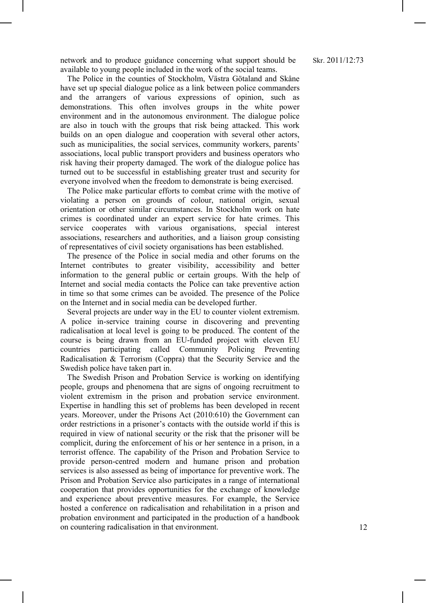network and to produce guidance concerning what support should be available to young people included in the work of the social teams.

The Police in the counties of Stockholm, Västra Götaland and Skåne have set up special dialogue police as a link between police commanders and the arrangers of various expressions of opinion, such as demonstrations. This often involves groups in the white power environment and in the autonomous environment. The dialogue police are also in touch with the groups that risk being attacked. This work builds on an open dialogue and cooperation with several other actors, such as municipalities, the social services, community workers, parents' associations, local public transport providers and business operators who risk having their property damaged. The work of the dialogue police has turned out to be successful in establishing greater trust and security for everyone involved when the freedom to demonstrate is being exercised.

The Police make particular efforts to combat crime with the motive of violating a person on grounds of colour, national origin, sexual orientation or other similar circumstances. In Stockholm work on hate crimes is coordinated under an expert service for hate crimes. This service cooperates with various organisations, special interest associations, researchers and authorities, and a liaison group consisting of representatives of civil society organisations has been established.

The presence of the Police in social media and other forums on the Internet contributes to greater visibility, accessibility and better information to the general public or certain groups. With the help of Internet and social media contacts the Police can take preventive action in time so that some crimes can be avoided. The presence of the Police on the Internet and in social media can be developed further.

Several projects are under way in the EU to counter violent extremism. A police in-service training course in discovering and preventing radicalisation at local level is going to be produced. The content of the course is being drawn from an EU-funded project with eleven EU countries participating called Community Policing Preventing Radicalisation & Terrorism (Coppra) that the Security Service and the Swedish police have taken part in.

The Swedish Prison and Probation Service is working on identifying people, groups and phenomena that are signs of ongoing recruitment to violent extremism in the prison and probation service environment. Expertise in handling this set of problems has been developed in recent years. Moreover, under the Prisons Act (2010:610) the Government can order restrictions in a prisoner's contacts with the outside world if this is required in view of national security or the risk that the prisoner will be complicit, during the enforcement of his or her sentence in a prison, in a terrorist offence. The capability of the Prison and Probation Service to provide person-centred modern and humane prison and probation services is also assessed as being of importance for preventive work. The Prison and Probation Service also participates in a range of international cooperation that provides opportunities for the exchange of knowledge and experience about preventive measures. For example, the Service hosted a conference on radicalisation and rehabilitation in a prison and probation environment and participated in the production of a handbook on countering radicalisation in that environment.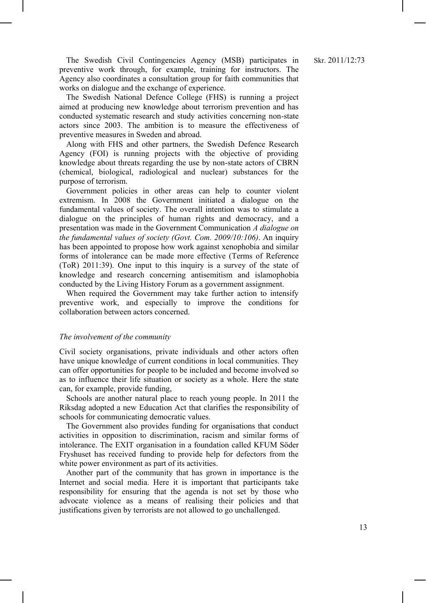The Swedish Civil Contingencies Agency (MSB) participates in preventive work through, for example, training for instructors. The Agency also coordinates a consultation group for faith communities that works on dialogue and the exchange of experience.

The Swedish National Defence College (FHS) is running a project aimed at producing new knowledge about terrorism prevention and has conducted systematic research and study activities concerning non-state actors since 2003. The ambition is to measure the effectiveness of preventive measures in Sweden and abroad.

Along with FHS and other partners, the Swedish Defence Research Agency (FOI) is running projects with the objective of providing knowledge about threats regarding the use by non-state actors of CBRN (chemical, biological, radiological and nuclear) substances for the purpose of terrorism.

Government policies in other areas can help to counter violent extremism. In 2008 the Government initiated a dialogue on the fundamental values of society. The overall intention was to stimulate a dialogue on the principles of human rights and democracy, and a presentation was made in the Government Communication *A dialogue on the fundamental values of society (Govt. Com. 2009/10:106)*. An inquiry has been appointed to propose how work against xenophobia and similar forms of intolerance can be made more effective (Terms of Reference (ToR) 2011:39). One input to this inquiry is a survey of the state of knowledge and research concerning antisemitism and islamophobia conducted by the Living History Forum as a government assignment.

When required the Government may take further action to intensify preventive work, and especially to improve the conditions for collaboration between actors concerned.

#### *The involvement of the community*

Civil society organisations, private individuals and other actors often have unique knowledge of current conditions in local communities. They can offer opportunities for people to be included and become involved so as to influence their life situation or society as a whole. Here the state can, for example, provide funding,

Schools are another natural place to reach young people. In 2011 the Riksdag adopted a new Education Act that clarifies the responsibility of schools for communicating democratic values.

The Government also provides funding for organisations that conduct activities in opposition to discrimination, racism and similar forms of intolerance. The EXIT organisation in a foundation called KFUM Söder Fryshuset has received funding to provide help for defectors from the white power environment as part of its activities.

Another part of the community that has grown in importance is the Internet and social media. Here it is important that participants take responsibility for ensuring that the agenda is not set by those who advocate violence as a means of realising their policies and that justifications given by terrorists are not allowed to go unchallenged.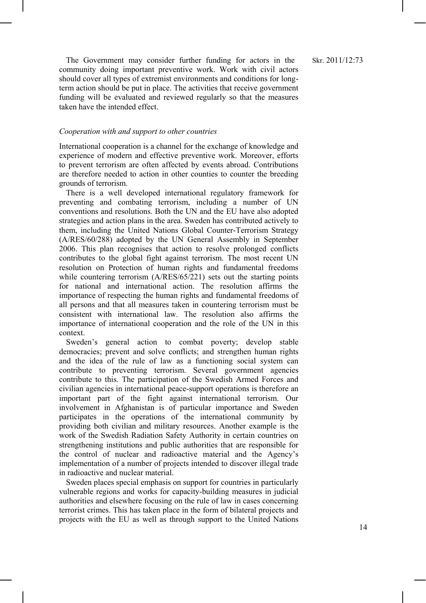The Government may consider further funding for actors in the community doing important preventive work. Work with civil actors should cover all types of extremist environments and conditions for longterm action should be put in place. The activities that receive government funding will be evaluated and reviewed regularly so that the measures taken have the intended effect.

#### *Cooperation with and support to other countries*

International cooperation is a channel for the exchange of knowledge and experience of modern and effective preventive work. Moreover, efforts to prevent terrorism are often affected by events abroad. Contributions are therefore needed to action in other counties to counter the breeding grounds of terrorism.

There is a well developed international regulatory framework for preventing and combating terrorism, including a number of UN conventions and resolutions. Both the UN and the EU have also adopted strategies and action plans in the area. Sweden has contributed actively to them, including the United Nations Global Counter-Terrorism Strategy (A/RES/60/288) adopted by the UN General Assembly in September 2006. This plan recognises that action to resolve prolonged conflicts contributes to the global fight against terrorism. The most recent UN resolution on Protection of human rights and fundamental freedoms while countering terrorism (A/RES/65/221) sets out the starting points for national and international action. The resolution affirms the importance of respecting the human rights and fundamental freedoms of all persons and that all measures taken in countering terrorism must be consistent with international law. The resolution also affirms the importance of international cooperation and the role of the UN in this context.

Sweden's general action to combat poverty; develop stable democracies; prevent and solve conflicts; and strengthen human rights and the idea of the rule of law as a functioning social system can contribute to preventing terrorism. Several government agencies contribute to this. The participation of the Swedish Armed Forces and civilian agencies in international peace-support operations is therefore an important part of the fight against international terrorism. Our involvement in Afghanistan is of particular importance and Sweden participates in the operations of the international community by providing both civilian and military resources. Another example is the work of the Swedish Radiation Safety Authority in certain countries on strengthening institutions and public authorities that are responsible for the control of nuclear and radioactive material and the Agency's implementation of a number of projects intended to discover illegal trade in radioactive and nuclear material.

Sweden places special emphasis on support for countries in particularly vulnerable regions and works for capacity-building measures in judicial authorities and elsewhere focusing on the rule of law in cases concerning terrorist crimes. This has taken place in the form of bilateral projects and projects with the EU as well as through support to the United Nations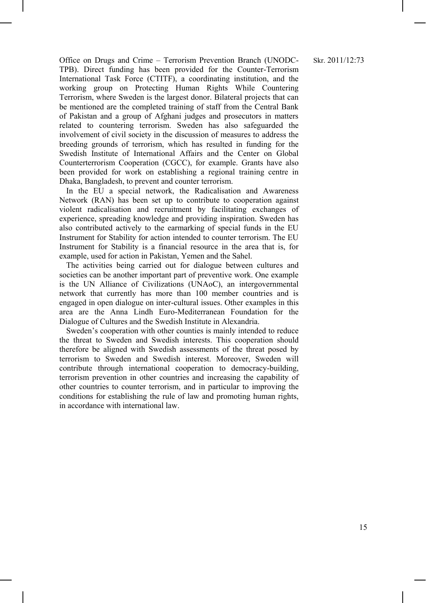#### Skr. 2011/12:73

Office on Drugs and Crime – Terrorism Prevention Branch (UNODC-TPB). Direct funding has been provided for the Counter-Terrorism International Task Force (CTITF), a coordinating institution, and the working group on Protecting Human Rights While Countering Terrorism, where Sweden is the largest donor. Bilateral projects that can be mentioned are the completed training of staff from the Central Bank of Pakistan and a group of Afghani judges and prosecutors in matters related to countering terrorism. Sweden has also safeguarded the involvement of civil society in the discussion of measures to address the breeding grounds of terrorism, which has resulted in funding for the Swedish Institute of International Affairs and the Center on Global Counterterrorism Cooperation (CGCC), for example. Grants have also been provided for work on establishing a regional training centre in Dhaka, Bangladesh, to prevent and counter terrorism.

In the EU a special network, the Radicalisation and Awareness Network (RAN) has been set up to contribute to cooperation against violent radicalisation and recruitment by facilitating exchanges of experience, spreading knowledge and providing inspiration. Sweden has also contributed actively to the earmarking of special funds in the EU Instrument for Stability for action intended to counter terrorism. The EU Instrument for Stability is a financial resource in the area that is, for example, used for action in Pakistan, Yemen and the Sahel.

The activities being carried out for dialogue between cultures and societies can be another important part of preventive work. One example is the UN Alliance of Civilizations (UNAoC), an intergovernmental network that currently has more than 100 member countries and is engaged in open dialogue on inter-cultural issues. Other examples in this area are the Anna Lindh Euro-Mediterranean Foundation for the Dialogue of Cultures and the Swedish Institute in Alexandria.

Sweden's cooperation with other counties is mainly intended to reduce the threat to Sweden and Swedish interests. This cooperation should therefore be aligned with Swedish assessments of the threat posed by terrorism to Sweden and Swedish interest. Moreover, Sweden will contribute through international cooperation to democracy-building, terrorism prevention in other countries and increasing the capability of other countries to counter terrorism, and in particular to improving the conditions for establishing the rule of law and promoting human rights, in accordance with international law.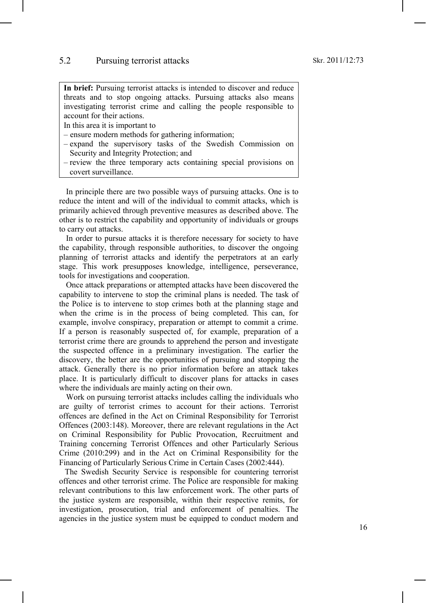**In brief:** Pursuing terrorist attacks is intended to discover and reduce threats and to stop ongoing attacks. Pursuing attacks also means investigating terrorist crime and calling the people responsible to account for their actions.

In this area it is important to

- ensure modern methods for gathering information;
- expand the supervisory tasks of the Swedish Commission on Security and Integrity Protection; and
- review the three temporary acts containing special provisions on covert surveillance.

In principle there are two possible ways of pursuing attacks. One is to reduce the intent and will of the individual to commit attacks, which is primarily achieved through preventive measures as described above. The other is to restrict the capability and opportunity of individuals or groups to carry out attacks.

In order to pursue attacks it is therefore necessary for society to have the capability, through responsible authorities, to discover the ongoing planning of terrorist attacks and identify the perpetrators at an early stage. This work presupposes knowledge, intelligence, perseverance, tools for investigations and cooperation.

Once attack preparations or attempted attacks have been discovered the capability to intervene to stop the criminal plans is needed. The task of the Police is to intervene to stop crimes both at the planning stage and when the crime is in the process of being completed. This can, for example, involve conspiracy, preparation or attempt to commit a crime. If a person is reasonably suspected of, for example, preparation of a terrorist crime there are grounds to apprehend the person and investigate the suspected offence in a preliminary investigation. The earlier the discovery, the better are the opportunities of pursuing and stopping the attack. Generally there is no prior information before an attack takes place. It is particularly difficult to discover plans for attacks in cases where the individuals are mainly acting on their own.

Work on pursuing terrorist attacks includes calling the individuals who are guilty of terrorist crimes to account for their actions. Terrorist offences are defined in the Act on Criminal Responsibility for Terrorist Offences (2003:148). Moreover, there are relevant regulations in the Act on Criminal Responsibility for Public Provocation, Recruitment and Training concerning Terrorist Offences and other Particularly Serious Crime (2010:299) and in the Act on Criminal Responsibility for the Financing of Particularly Serious Crime in Certain Cases (2002:444).

The Swedish Security Service is responsible for countering terrorist offences and other terrorist crime. The Police are responsible for making relevant contributions to this law enforcement work. The other parts of the justice system are responsible, within their respective remits, for investigation, prosecution, trial and enforcement of penalties. The agencies in the justice system must be equipped to conduct modern and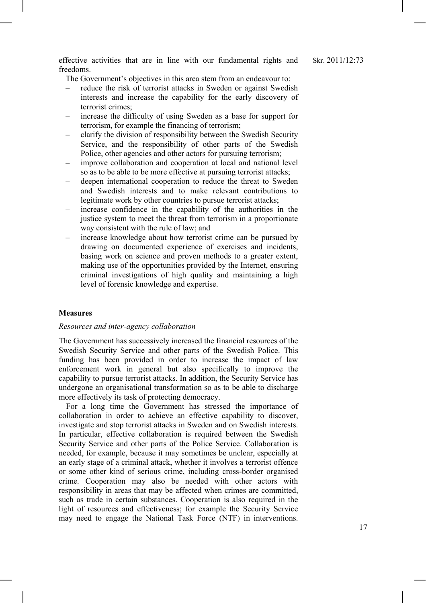effective activities that are in line with our fundamental rights and freedoms.

The Government's objectives in this area stem from an endeavour to:

- reduce the risk of terrorist attacks in Sweden or against Swedish interests and increase the capability for the early discovery of terrorist crimes;
- increase the difficulty of using Sweden as a base for support for terrorism, for example the financing of terrorism;
- clarify the division of responsibility between the Swedish Security Service, and the responsibility of other parts of the Swedish Police, other agencies and other actors for pursuing terrorism;
- improve collaboration and cooperation at local and national level so as to be able to be more effective at pursuing terrorist attacks;
- deepen international cooperation to reduce the threat to Sweden and Swedish interests and to make relevant contributions to legitimate work by other countries to pursue terrorist attacks;
- increase confidence in the capability of the authorities in the justice system to meet the threat from terrorism in a proportionate way consistent with the rule of law; and
- increase knowledge about how terrorist crime can be pursued by drawing on documented experience of exercises and incidents, basing work on science and proven methods to a greater extent, making use of the opportunities provided by the Internet, ensuring criminal investigations of high quality and maintaining a high level of forensic knowledge and expertise.

#### **Measures**

#### *Resources and inter-agency collaboration*

The Government has successively increased the financial resources of the Swedish Security Service and other parts of the Swedish Police. This funding has been provided in order to increase the impact of law enforcement work in general but also specifically to improve the capability to pursue terrorist attacks. In addition, the Security Service has undergone an organisational transformation so as to be able to discharge more effectively its task of protecting democracy.

For a long time the Government has stressed the importance of collaboration in order to achieve an effective capability to discover, investigate and stop terrorist attacks in Sweden and on Swedish interests. In particular, effective collaboration is required between the Swedish Security Service and other parts of the Police Service. Collaboration is needed, for example, because it may sometimes be unclear, especially at an early stage of a criminal attack, whether it involves a terrorist offence or some other kind of serious crime, including cross-border organised crime. Cooperation may also be needed with other actors with responsibility in areas that may be affected when crimes are committed, such as trade in certain substances. Cooperation is also required in the light of resources and effectiveness; for example the Security Service may need to engage the National Task Force (NTF) in interventions.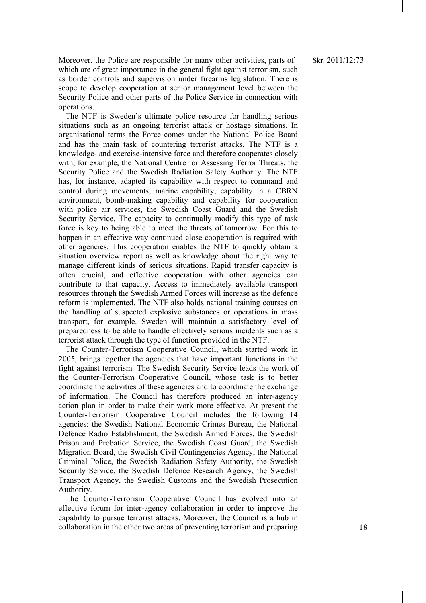Moreover, the Police are responsible for many other activities, parts of which are of great importance in the general fight against terrorism, such as border controls and supervision under firearms legislation. There is scope to develop cooperation at senior management level between the Security Police and other parts of the Police Service in connection with operations.

The NTF is Sweden's ultimate police resource for handling serious situations such as an ongoing terrorist attack or hostage situations. In organisational terms the Force comes under the National Police Board and has the main task of countering terrorist attacks. The NTF is a knowledge- and exercise-intensive force and therefore cooperates closely with, for example, the National Centre for Assessing Terror Threats, the Security Police and the Swedish Radiation Safety Authority. The NTF has, for instance, adapted its capability with respect to command and control during movements, marine capability, capability in a CBRN environment, bomb-making capability and capability for cooperation with police air services, the Swedish Coast Guard and the Swedish Security Service. The capacity to continually modify this type of task force is key to being able to meet the threats of tomorrow. For this to happen in an effective way continued close cooperation is required with other agencies. This cooperation enables the NTF to quickly obtain a situation overview report as well as knowledge about the right way to manage different kinds of serious situations. Rapid transfer capacity is often crucial, and effective cooperation with other agencies can contribute to that capacity. Access to immediately available transport resources through the Swedish Armed Forces will increase as the defence reform is implemented. The NTF also holds national training courses on the handling of suspected explosive substances or operations in mass transport, for example. Sweden will maintain a satisfactory level of preparedness to be able to handle effectively serious incidents such as a terrorist attack through the type of function provided in the NTF.

The Counter-Terrorism Cooperative Council, which started work in 2005, brings together the agencies that have important functions in the fight against terrorism. The Swedish Security Service leads the work of the Counter-Terrorism Cooperative Council, whose task is to better coordinate the activities of these agencies and to coordinate the exchange of information. The Council has therefore produced an inter-agency action plan in order to make their work more effective. At present the Counter-Terrorism Cooperative Council includes the following 14 agencies: the Swedish National Economic Crimes Bureau, the National Defence Radio Establishment, the Swedish Armed Forces, the Swedish Prison and Probation Service, the Swedish Coast Guard, the Swedish Migration Board, the Swedish Civil Contingencies Agency, the National Criminal Police, the Swedish Radiation Safety Authority, the Swedish Security Service, the Swedish Defence Research Agency, the Swedish Transport Agency, the Swedish Customs and the Swedish Prosecution Authority.

The Counter-Terrorism Cooperative Council has evolved into an effective forum for inter-agency collaboration in order to improve the capability to pursue terrorist attacks. Moreover, the Council is a hub in collaboration in the other two areas of preventing terrorism and preparing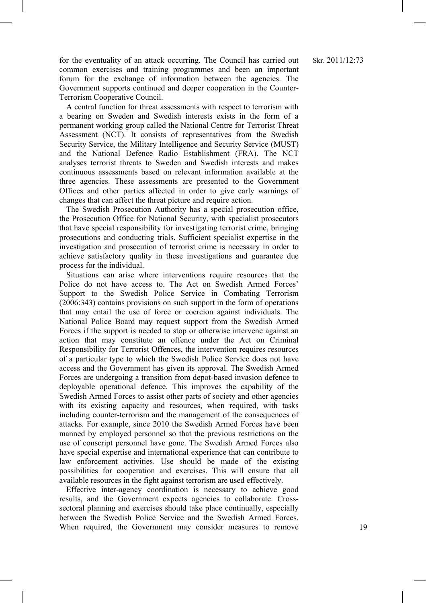for the eventuality of an attack occurring. The Council has carried out common exercises and training programmes and been an important forum for the exchange of information between the agencies. The Government supports continued and deeper cooperation in the Counter-Terrorism Cooperative Council.

A central function for threat assessments with respect to terrorism with a bearing on Sweden and Swedish interests exists in the form of a permanent working group called the National Centre for Terrorist Threat Assessment (NCT). It consists of representatives from the Swedish Security Service, the Military Intelligence and Security Service (MUST) and the National Defence Radio Establishment (FRA). The NCT analyses terrorist threats to Sweden and Swedish interests and makes continuous assessments based on relevant information available at the three agencies. These assessments are presented to the Government Offices and other parties affected in order to give early warnings of changes that can affect the threat picture and require action.

The Swedish Prosecution Authority has a special prosecution office, the Prosecution Office for National Security, with specialist prosecutors that have special responsibility for investigating terrorist crime, bringing prosecutions and conducting trials. Sufficient specialist expertise in the investigation and prosecution of terrorist crime is necessary in order to achieve satisfactory quality in these investigations and guarantee due process for the individual.

Situations can arise where interventions require resources that the Police do not have access to. The Act on Swedish Armed Forces' Support to the Swedish Police Service in Combating Terrorism (2006:343) contains provisions on such support in the form of operations that may entail the use of force or coercion against individuals. The National Police Board may request support from the Swedish Armed Forces if the support is needed to stop or otherwise intervene against an action that may constitute an offence under the Act on Criminal Responsibility for Terrorist Offences, the intervention requires resources of a particular type to which the Swedish Police Service does not have access and the Government has given its approval. The Swedish Armed Forces are undergoing a transition from depot-based invasion defence to deployable operational defence. This improves the capability of the Swedish Armed Forces to assist other parts of society and other agencies with its existing capacity and resources, when required, with tasks including counter-terrorism and the management of the consequences of attacks. For example, since 2010 the Swedish Armed Forces have been manned by employed personnel so that the previous restrictions on the use of conscript personnel have gone. The Swedish Armed Forces also have special expertise and international experience that can contribute to law enforcement activities. Use should be made of the existing possibilities for cooperation and exercises. This will ensure that all available resources in the fight against terrorism are used effectively.

Effective inter-agency coordination is necessary to achieve good results, and the Government expects agencies to collaborate. Crosssectoral planning and exercises should take place continually, especially between the Swedish Police Service and the Swedish Armed Forces. When required, the Government may consider measures to remove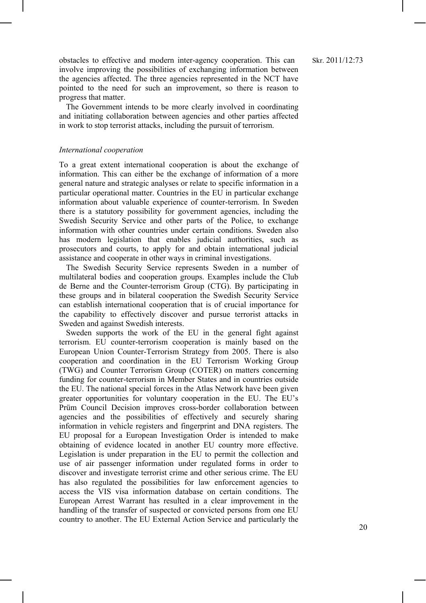obstacles to effective and modern inter-agency cooperation. This can involve improving the possibilities of exchanging information between the agencies affected. The three agencies represented in the NCT have pointed to the need for such an improvement, so there is reason to progress that matter.

The Government intends to be more clearly involved in coordinating and initiating collaboration between agencies and other parties affected in work to stop terrorist attacks, including the pursuit of terrorism.

#### *International cooperation*

To a great extent international cooperation is about the exchange of information. This can either be the exchange of information of a more general nature and strategic analyses or relate to specific information in a particular operational matter. Countries in the EU in particular exchange information about valuable experience of counter-terrorism. In Sweden there is a statutory possibility for government agencies, including the Swedish Security Service and other parts of the Police, to exchange information with other countries under certain conditions. Sweden also has modern legislation that enables judicial authorities, such as prosecutors and courts, to apply for and obtain international judicial assistance and cooperate in other ways in criminal investigations.

The Swedish Security Service represents Sweden in a number of multilateral bodies and cooperation groups. Examples include the Club de Berne and the Counter-terrorism Group (CTG). By participating in these groups and in bilateral cooperation the Swedish Security Service can establish international cooperation that is of crucial importance for the capability to effectively discover and pursue terrorist attacks in Sweden and against Swedish interests.

Sweden supports the work of the EU in the general fight against terrorism. EU counter-terrorism cooperation is mainly based on the European Union Counter-Terrorism Strategy from 2005. There is also cooperation and coordination in the EU Terrorism Working Group (TWG) and Counter Terrorism Group (COTER) on matters concerning funding for counter-terrorism in Member States and in countries outside the EU. The national special forces in the Atlas Network have been given greater opportunities for voluntary cooperation in the EU. The EU's Prüm Council Decision improves cross-border collaboration between agencies and the possibilities of effectively and securely sharing information in vehicle registers and fingerprint and DNA registers. The EU proposal for a European Investigation Order is intended to make obtaining of evidence located in another EU country more effective. Legislation is under preparation in the EU to permit the collection and use of air passenger information under regulated forms in order to discover and investigate terrorist crime and other serious crime. The EU has also regulated the possibilities for law enforcement agencies to access the VIS visa information database on certain conditions. The European Arrest Warrant has resulted in a clear improvement in the handling of the transfer of suspected or convicted persons from one EU country to another. The EU External Action Service and particularly the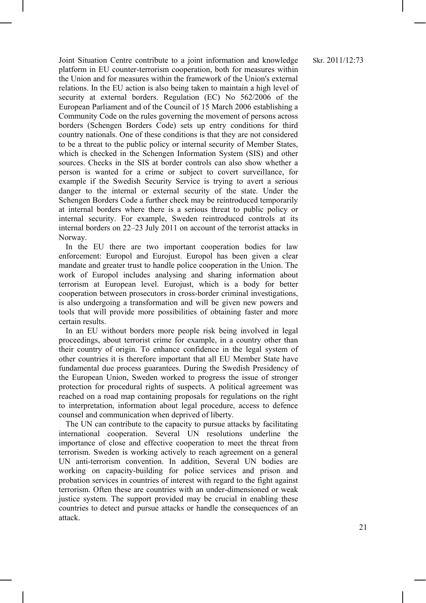Joint Situation Centre contribute to a joint information and knowledge platform in EU counter-terrorism cooperation, both for measures within the Union and for measures within the framework of the Union's external relations. In the EU action is also being taken to maintain a high level of security at external borders. Regulation (EC) No 562/2006 of the European Parliament and of the Council of 15 March 2006 establishing a Community Code on the rules governing the movement of persons across borders (Schengen Borders Code) sets up entry conditions for third country nationals. One of these conditions is that they are not considered to be a threat to the public policy or internal security of Member States, which is checked in the Schengen Information System (SIS) and other sources. Checks in the SIS at border controls can also show whether a person is wanted for a crime or subject to covert surveillance, for example if the Swedish Security Service is trying to avert a serious danger to the internal or external security of the state. Under the Schengen Borders Code a further check may be reintroduced temporarily at internal borders where there is a serious threat to public policy or internal security. For example, Sweden reintroduced controls at its internal borders on 22–23 July 2011 on account of the terrorist attacks in Norway.

In the EU there are two important cooperation bodies for law enforcement: Europol and Eurojust. Europol has been given a clear mandate and greater trust to handle police cooperation in the Union. The work of Europol includes analysing and sharing information about terrorism at European level. Eurojust, which is a body for better cooperation between prosecutors in cross-border criminal investigations, is also undergoing a transformation and will be given new powers and tools that will provide more possibilities of obtaining faster and more certain results.

In an EU without borders more people risk being involved in legal proceedings, about terrorist crime for example, in a country other than their country of origin. To enhance confidence in the legal system of other countries it is therefore important that all EU Member State have fundamental due process guarantees. During the Swedish Presidency of the European Union, Sweden worked to progress the issue of stronger protection for procedural rights of suspects. A political agreement was reached on a road map containing proposals for regulations on the right to interpretation, information about legal procedure, access to defence counsel and communication when deprived of liberty.

The UN can contribute to the capacity to pursue attacks by facilitating international cooperation. Several UN resolutions underline the importance of close and effective cooperation to meet the threat from terrorism. Sweden is working actively to reach agreement on a general UN anti-terrorism convention. In addition, Several UN bodies are working on capacity-building for police services and prison and probation services in countries of interest with regard to the fight against terrorism. Often these are countries with an under-dimensioned or weak justice system. The support provided may be crucial in enabling these countries to detect and pursue attacks or handle the consequences of an attack.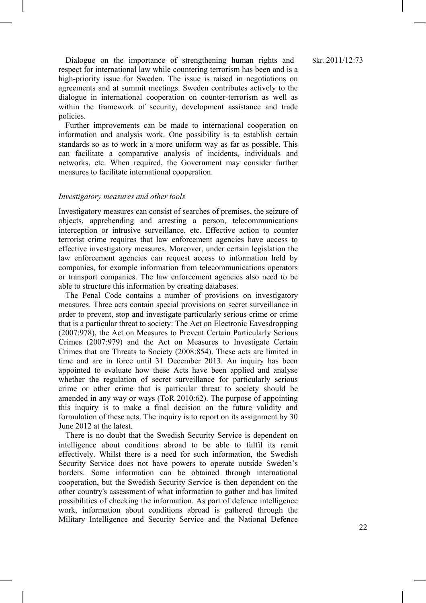Dialogue on the importance of strengthening human rights and respect for international law while countering terrorism has been and is a high-priority issue for Sweden. The issue is raised in negotiations on agreements and at summit meetings. Sweden contributes actively to the dialogue in international cooperation on counter-terrorism as well as within the framework of security, development assistance and trade policies.

Further improvements can be made to international cooperation on information and analysis work. One possibility is to establish certain standards so as to work in a more uniform way as far as possible. This can facilitate a comparative analysis of incidents, individuals and networks, etc. When required, the Government may consider further measures to facilitate international cooperation.

#### *Investigatory measures and other tools*

Investigatory measures can consist of searches of premises, the seizure of objects, apprehending and arresting a person, telecommunications interception or intrusive surveillance, etc. Effective action to counter terrorist crime requires that law enforcement agencies have access to effective investigatory measures. Moreover, under certain legislation the law enforcement agencies can request access to information held by companies, for example information from telecommunications operators or transport companies. The law enforcement agencies also need to be able to structure this information by creating databases.

The Penal Code contains a number of provisions on investigatory measures. Three acts contain special provisions on secret surveillance in order to prevent, stop and investigate particularly serious crime or crime that is a particular threat to society: The Act on Electronic Eavesdropping (2007:978), the Act on Measures to Prevent Certain Particularly Serious Crimes (2007:979) and the Act on Measures to Investigate Certain Crimes that are Threats to Society (2008:854). These acts are limited in time and are in force until 31 December 2013. An inquiry has been appointed to evaluate how these Acts have been applied and analyse whether the regulation of secret surveillance for particularly serious crime or other crime that is particular threat to society should be amended in any way or ways (ToR 2010:62). The purpose of appointing this inquiry is to make a final decision on the future validity and formulation of these acts. The inquiry is to report on its assignment by 30 June 2012 at the latest.

There is no doubt that the Swedish Security Service is dependent on intelligence about conditions abroad to be able to fulfil its remit effectively. Whilst there is a need for such information, the Swedish Security Service does not have powers to operate outside Sweden's borders. Some information can be obtained through international cooperation, but the Swedish Security Service is then dependent on the other country's assessment of what information to gather and has limited possibilities of checking the information. As part of defence intelligence work, information about conditions abroad is gathered through the Military Intelligence and Security Service and the National Defence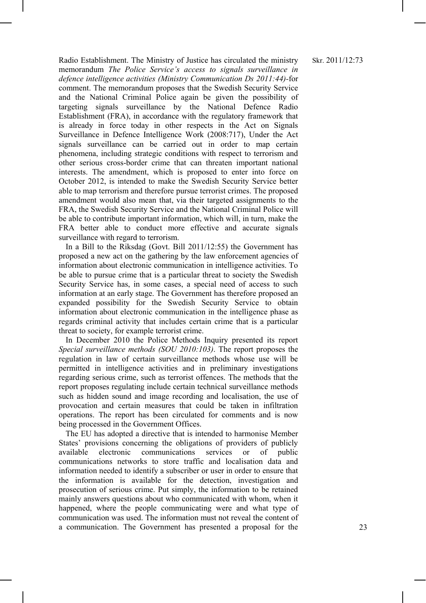Radio Establishment. The Ministry of Justice has circulated the ministry memorandum *The Police Service's access to signals surveillance in defence intelligence activities (Ministry Communication Ds 2011:44)-*for comment. The memorandum proposes that the Swedish Security Service and the National Criminal Police again be given the possibility of targeting signals surveillance by the National Defence Radio Establishment (FRA), in accordance with the regulatory framework that is already in force today in other respects in the Act on Signals Surveillance in Defence Intelligence Work (2008:717), Under the Act signals surveillance can be carried out in order to map certain phenomena, including strategic conditions with respect to terrorism and other serious cross-border crime that can threaten important national interests. The amendment, which is proposed to enter into force on October 2012, is intended to make the Swedish Security Service better able to map terrorism and therefore pursue terrorist crimes. The proposed amendment would also mean that, via their targeted assignments to the FRA, the Swedish Security Service and the National Criminal Police will be able to contribute important information, which will, in turn, make the FRA better able to conduct more effective and accurate signals surveillance with regard to terrorism.

In a Bill to the Riksdag (Govt. Bill 2011/12:55) the Government has proposed a new act on the gathering by the law enforcement agencies of information about electronic communication in intelligence activities. To be able to pursue crime that is a particular threat to society the Swedish Security Service has, in some cases, a special need of access to such information at an early stage. The Government has therefore proposed an expanded possibility for the Swedish Security Service to obtain information about electronic communication in the intelligence phase as regards criminal activity that includes certain crime that is a particular threat to society, for example terrorist crime.

In December 2010 the Police Methods Inquiry presented its report *Special surveillance methods (SOU 2010:103)*. The report proposes the regulation in law of certain surveillance methods whose use will be permitted in intelligence activities and in preliminary investigations regarding serious crime, such as terrorist offences. The methods that the report proposes regulating include certain technical surveillance methods such as hidden sound and image recording and localisation, the use of provocation and certain measures that could be taken in infiltration operations. The report has been circulated for comments and is now being processed in the Government Offices.

The EU has adopted a directive that is intended to harmonise Member States' provisions concerning the obligations of providers of publicly available electronic communications services or of public communications networks to store traffic and localisation data and information needed to identify a subscriber or user in order to ensure that the information is available for the detection, investigation and prosecution of serious crime. Put simply, the information to be retained mainly answers questions about who communicated with whom, when it happened, where the people communicating were and what type of communication was used. The information must not reveal the content of a communication. The Government has presented a proposal for the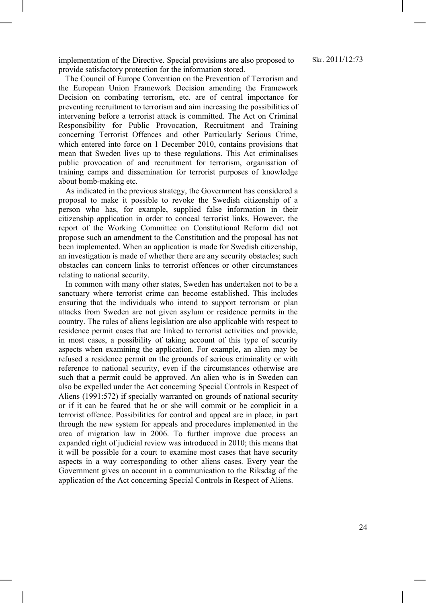implementation of the Directive. Special provisions are also proposed to provide satisfactory protection for the information stored.

The Council of Europe Convention on the Prevention of Terrorism and the European Union Framework Decision amending the Framework Decision on combating terrorism, etc. are of central importance for preventing recruitment to terrorism and aim increasing the possibilities of intervening before a terrorist attack is committed. The Act on Criminal Responsibility for Public Provocation, Recruitment and Training concerning Terrorist Offences and other Particularly Serious Crime, which entered into force on 1 December 2010, contains provisions that mean that Sweden lives up to these regulations. This Act criminalises public provocation of and recruitment for terrorism, organisation of training camps and dissemination for terrorist purposes of knowledge about bomb-making etc.

As indicated in the previous strategy, the Government has considered a proposal to make it possible to revoke the Swedish citizenship of a person who has, for example, supplied false information in their citizenship application in order to conceal terrorist links. However, the report of the Working Committee on Constitutional Reform did not propose such an amendment to the Constitution and the proposal has not been implemented. When an application is made for Swedish citizenship, an investigation is made of whether there are any security obstacles; such obstacles can concern links to terrorist offences or other circumstances relating to national security.

In common with many other states, Sweden has undertaken not to be a sanctuary where terrorist crime can become established. This includes ensuring that the individuals who intend to support terrorism or plan attacks from Sweden are not given asylum or residence permits in the country. The rules of aliens legislation are also applicable with respect to residence permit cases that are linked to terrorist activities and provide, in most cases, a possibility of taking account of this type of security aspects when examining the application. For example, an alien may be refused a residence permit on the grounds of serious criminality or with reference to national security, even if the circumstances otherwise are such that a permit could be approved. An alien who is in Sweden can also be expelled under the Act concerning Special Controls in Respect of Aliens (1991:572) if specially warranted on grounds of national security or if it can be feared that he or she will commit or be complicit in a terrorist offence. Possibilities for control and appeal are in place, in part through the new system for appeals and procedures implemented in the area of migration law in 2006. To further improve due process an expanded right of judicial review was introduced in 2010; this means that it will be possible for a court to examine most cases that have security aspects in a way corresponding to other aliens cases. Every year the Government gives an account in a communication to the Riksdag of the application of the Act concerning Special Controls in Respect of Aliens.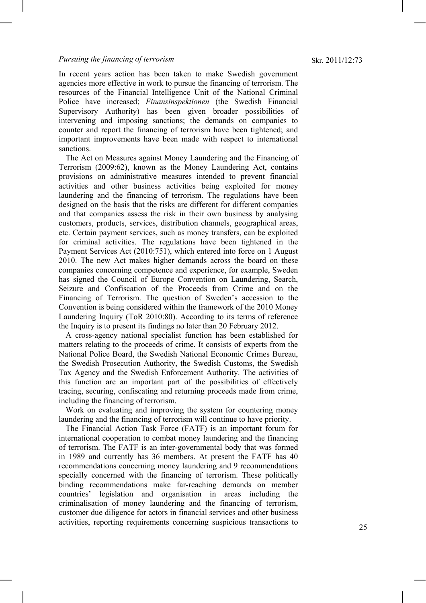In recent years action has been taken to make Swedish government agencies more effective in work to pursue the financing of terrorism. The resources of the Financial Intelligence Unit of the National Criminal Police have increased; *Finansinspektionen* (the Swedish Financial Supervisory Authority) has been given broader possibilities of intervening and imposing sanctions; the demands on companies to counter and report the financing of terrorism have been tightened; and important improvements have been made with respect to international sanctions.

The Act on Measures against Money Laundering and the Financing of Terrorism (2009:62), known as the Money Laundering Act, contains provisions on administrative measures intended to prevent financial activities and other business activities being exploited for money laundering and the financing of terrorism. The regulations have been designed on the basis that the risks are different for different companies and that companies assess the risk in their own business by analysing customers, products, services, distribution channels, geographical areas, etc. Certain payment services, such as money transfers, can be exploited for criminal activities. The regulations have been tightened in the Payment Services Act (2010:751), which entered into force on 1 August 2010. The new Act makes higher demands across the board on these companies concerning competence and experience, for example, Sweden has signed the Council of Europe Convention on Laundering, Search, Seizure and Confiscation of the Proceeds from Crime and on the Financing of Terrorism. The question of Sweden's accession to the Convention is being considered within the framework of the 2010 Money Laundering Inquiry (ToR 2010:80). According to its terms of reference the Inquiry is to present its findings no later than 20 February 2012.

A cross-agency national specialist function has been established for matters relating to the proceeds of crime. It consists of experts from the National Police Board, the Swedish National Economic Crimes Bureau, the Swedish Prosecution Authority, the Swedish Customs, the Swedish Tax Agency and the Swedish Enforcement Authority. The activities of this function are an important part of the possibilities of effectively tracing, securing, confiscating and returning proceeds made from crime, including the financing of terrorism.

Work on evaluating and improving the system for countering money laundering and the financing of terrorism will continue to have priority.

The Financial Action Task Force (FATF) is an important forum for international cooperation to combat money laundering and the financing of terrorism. The FATF is an inter-governmental body that was formed in 1989 and currently has 36 members. At present the FATF has 40 recommendations concerning money laundering and 9 recommendations specially concerned with the financing of terrorism. These politically binding recommendations make far-reaching demands on member countries' legislation and organisation in areas including the criminalisation of money laundering and the financing of terrorism, customer due diligence for actors in financial services and other business activities, reporting requirements concerning suspicious transactions to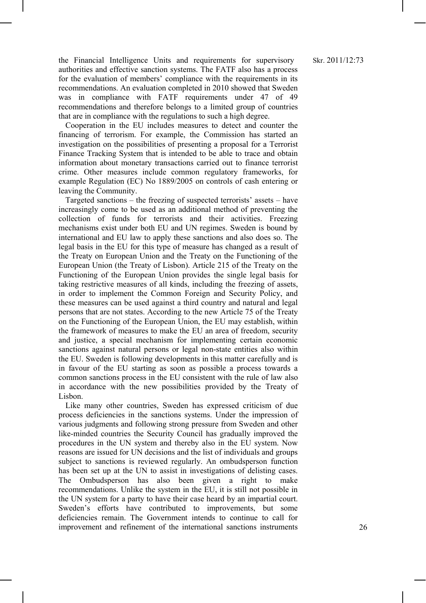the Financial Intelligence Units and requirements for supervisory authorities and effective sanction systems. The FATF also has a process for the evaluation of members' compliance with the requirements in its recommendations. An evaluation completed in 2010 showed that Sweden was in compliance with FATF requirements under 47 of 49 recommendations and therefore belongs to a limited group of countries that are in compliance with the regulations to such a high degree.

Cooperation in the EU includes measures to detect and counter the financing of terrorism. For example, the Commission has started an investigation on the possibilities of presenting a proposal for a Terrorist Finance Tracking System that is intended to be able to trace and obtain information about monetary transactions carried out to finance terrorist crime. Other measures include common regulatory frameworks, for example Regulation (EC) No 1889/2005 on controls of cash entering or leaving the Community.

Targeted sanctions – the freezing of suspected terrorists' assets – have increasingly come to be used as an additional method of preventing the collection of funds for terrorists and their activities. Freezing mechanisms exist under both EU and UN regimes. Sweden is bound by international and EU law to apply these sanctions and also does so. The legal basis in the EU for this type of measure has changed as a result of the Treaty on European Union and the Treaty on the Functioning of the European Union (the Treaty of Lisbon). Article 215 of the Treaty on the Functioning of the European Union provides the single legal basis for taking restrictive measures of all kinds, including the freezing of assets, in order to implement the Common Foreign and Security Policy, and these measures can be used against a third country and natural and legal persons that are not states. According to the new Article 75 of the Treaty on the Functioning of the European Union, the EU may establish, within the framework of measures to make the EU an area of freedom, security and justice, a special mechanism for implementing certain economic sanctions against natural persons or legal non-state entities also within the EU. Sweden is following developments in this matter carefully and is in favour of the EU starting as soon as possible a process towards a common sanctions process in the EU consistent with the rule of law also in accordance with the new possibilities provided by the Treaty of Lisbon.

Like many other countries, Sweden has expressed criticism of due process deficiencies in the sanctions systems. Under the impression of various judgments and following strong pressure from Sweden and other like-minded countries the Security Council has gradually improved the procedures in the UN system and thereby also in the EU system. Now reasons are issued for UN decisions and the list of individuals and groups subject to sanctions is reviewed regularly. An ombudsperson function has been set up at the UN to assist in investigations of delisting cases. The Ombudsperson has also been given a right to make recommendations. Unlike the system in the EU, it is still not possible in the UN system for a party to have their case heard by an impartial court. Sweden's efforts have contributed to improvements, but some deficiencies remain. The Government intends to continue to call for improvement and refinement of the international sanctions instruments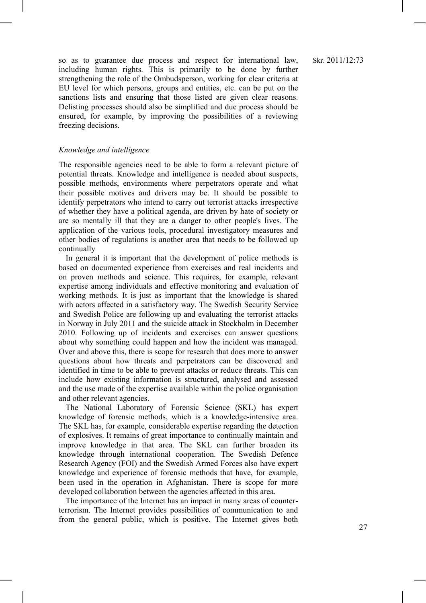so as to guarantee due process and respect for international law, including human rights. This is primarily to be done by further strengthening the role of the Ombudsperson, working for clear criteria at EU level for which persons, groups and entities, etc. can be put on the sanctions lists and ensuring that those listed are given clear reasons. Delisting processes should also be simplified and due process should be ensured, for example, by improving the possibilities of a reviewing freezing decisions.

#### *Knowledge and intelligence*

The responsible agencies need to be able to form a relevant picture of potential threats. Knowledge and intelligence is needed about suspects, possible methods, environments where perpetrators operate and what their possible motives and drivers may be. It should be possible to identify perpetrators who intend to carry out terrorist attacks irrespective of whether they have a political agenda, are driven by hate of society or are so mentally ill that they are a danger to other people's lives. The application of the various tools, procedural investigatory measures and other bodies of regulations is another area that needs to be followed up continually

In general it is important that the development of police methods is based on documented experience from exercises and real incidents and on proven methods and science. This requires, for example, relevant expertise among individuals and effective monitoring and evaluation of working methods. It is just as important that the knowledge is shared with actors affected in a satisfactory way. The Swedish Security Service and Swedish Police are following up and evaluating the terrorist attacks in Norway in July 2011 and the suicide attack in Stockholm in December 2010. Following up of incidents and exercises can answer questions about why something could happen and how the incident was managed. Over and above this, there is scope for research that does more to answer questions about how threats and perpetrators can be discovered and identified in time to be able to prevent attacks or reduce threats. This can include how existing information is structured, analysed and assessed and the use made of the expertise available within the police organisation and other relevant agencies.

The National Laboratory of Forensic Science (SKL) has expert knowledge of forensic methods, which is a knowledge-intensive area. The SKL has, for example, considerable expertise regarding the detection of explosives. It remains of great importance to continually maintain and improve knowledge in that area. The SKL can further broaden its knowledge through international cooperation. The Swedish Defence Research Agency (FOI) and the Swedish Armed Forces also have expert knowledge and experience of forensic methods that have, for example, been used in the operation in Afghanistan. There is scope for more developed collaboration between the agencies affected in this area.

The importance of the Internet has an impact in many areas of counterterrorism. The Internet provides possibilities of communication to and from the general public, which is positive. The Internet gives both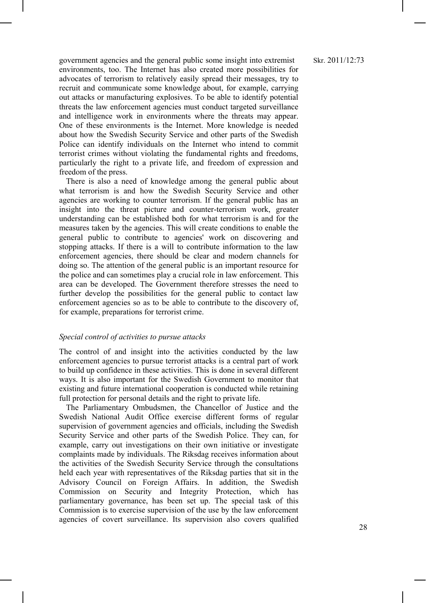government agencies and the general public some insight into extremist environments, too. The Internet has also created more possibilities for advocates of terrorism to relatively easily spread their messages, try to recruit and communicate some knowledge about, for example, carrying out attacks or manufacturing explosives. To be able to identify potential threats the law enforcement agencies must conduct targeted surveillance and intelligence work in environments where the threats may appear. One of these environments is the Internet. More knowledge is needed about how the Swedish Security Service and other parts of the Swedish Police can identify individuals on the Internet who intend to commit terrorist crimes without violating the fundamental rights and freedoms, particularly the right to a private life, and freedom of expression and freedom of the press.

There is also a need of knowledge among the general public about what terrorism is and how the Swedish Security Service and other agencies are working to counter terrorism. If the general public has an insight into the threat picture and counter-terrorism work, greater understanding can be established both for what terrorism is and for the measures taken by the agencies. This will create conditions to enable the general public to contribute to agencies' work on discovering and stopping attacks. If there is a will to contribute information to the law enforcement agencies, there should be clear and modern channels for doing so. The attention of the general public is an important resource for the police and can sometimes play a crucial role in law enforcement. This area can be developed. The Government therefore stresses the need to further develop the possibilities for the general public to contact law enforcement agencies so as to be able to contribute to the discovery of, for example, preparations for terrorist crime.

#### *Special control of activities to pursue attacks*

The control of and insight into the activities conducted by the law enforcement agencies to pursue terrorist attacks is a central part of work to build up confidence in these activities. This is done in several different ways. It is also important for the Swedish Government to monitor that existing and future international cooperation is conducted while retaining full protection for personal details and the right to private life.

The Parliamentary Ombudsmen, the Chancellor of Justice and the Swedish National Audit Office exercise different forms of regular supervision of government agencies and officials, including the Swedish Security Service and other parts of the Swedish Police. They can, for example, carry out investigations on their own initiative or investigate complaints made by individuals. The Riksdag receives information about the activities of the Swedish Security Service through the consultations held each year with representatives of the Riksdag parties that sit in the Advisory Council on Foreign Affairs. In addition, the Swedish Commission on Security and Integrity Protection, which has parliamentary governance, has been set up. The special task of this Commission is to exercise supervision of the use by the law enforcement agencies of covert surveillance. Its supervision also covers qualified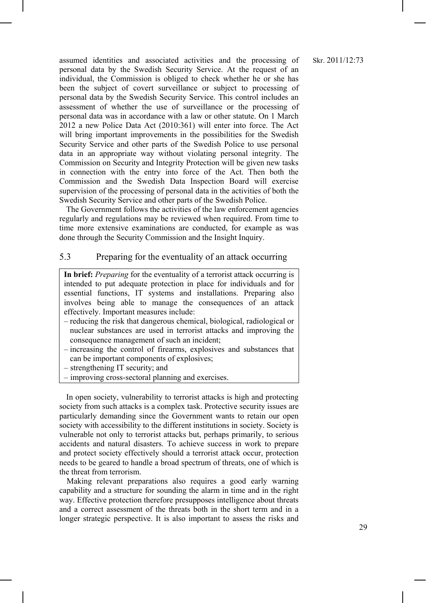assumed identities and associated activities and the processing of personal data by the Swedish Security Service. At the request of an individual, the Commission is obliged to check whether he or she has been the subject of covert surveillance or subject to processing of personal data by the Swedish Security Service. This control includes an assessment of whether the use of surveillance or the processing of personal data was in accordance with a law or other statute. On 1 March 2012 a new Police Data Act (2010:361) will enter into force. The Act will bring important improvements in the possibilities for the Swedish Security Service and other parts of the Swedish Police to use personal data in an appropriate way without violating personal integrity. The Commission on Security and Integrity Protection will be given new tasks in connection with the entry into force of the Act. Then both the Commission and the Swedish Data Inspection Board will exercise supervision of the processing of personal data in the activities of both the Swedish Security Service and other parts of the Swedish Police.

The Government follows the activities of the law enforcement agencies regularly and regulations may be reviewed when required. From time to time more extensive examinations are conducted, for example as was done through the Security Commission and the Insight Inquiry.

#### 5.3 Preparing for the eventuality of an attack occurring

**In brief:** *Preparing* for the eventuality of a terrorist attack occurring is intended to put adequate protection in place for individuals and for essential functions, IT systems and installations. Preparing also involves being able to manage the consequences of an attack effectively. Important measures include:

- reducing the risk that dangerous chemical, biological, radiological or nuclear substances are used in terrorist attacks and improving the consequence management of such an incident;
- increasing the control of firearms, explosives and substances that can be important components of explosives;
- strengthening IT security; and
- improving cross-sectoral planning and exercises.

In open society, vulnerability to terrorist attacks is high and protecting society from such attacks is a complex task. Protective security issues are particularly demanding since the Government wants to retain our open society with accessibility to the different institutions in society. Society is vulnerable not only to terrorist attacks but, perhaps primarily, to serious accidents and natural disasters. To achieve success in work to prepare and protect society effectively should a terrorist attack occur, protection needs to be geared to handle a broad spectrum of threats, one of which is the threat from terrorism.

Making relevant preparations also requires a good early warning capability and a structure for sounding the alarm in time and in the right way. Effective protection therefore presupposes intelligence about threats and a correct assessment of the threats both in the short term and in a longer strategic perspective. It is also important to assess the risks and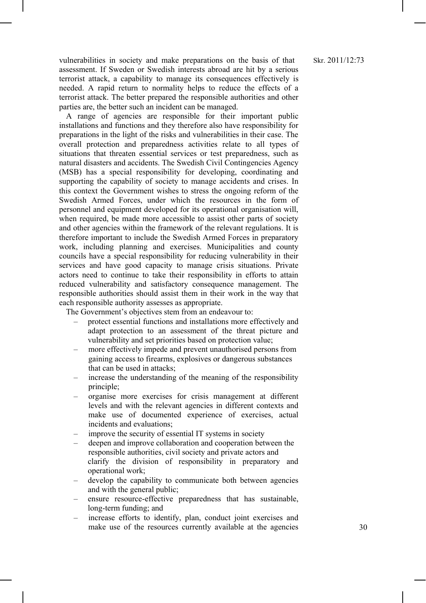#### Skr. 2011/12:73

vulnerabilities in society and make preparations on the basis of that assessment. If Sweden or Swedish interests abroad are hit by a serious terrorist attack, a capability to manage its consequences effectively is needed. A rapid return to normality helps to reduce the effects of a terrorist attack. The better prepared the responsible authorities and other parties are, the better such an incident can be managed.

A range of agencies are responsible for their important public installations and functions and they therefore also have responsibility for preparations in the light of the risks and vulnerabilities in their case. The overall protection and preparedness activities relate to all types of situations that threaten essential services or test preparedness, such as natural disasters and accidents. The Swedish Civil Contingencies Agency (MSB) has a special responsibility for developing, coordinating and supporting the capability of society to manage accidents and crises. In this context the Government wishes to stress the ongoing reform of the Swedish Armed Forces, under which the resources in the form of personnel and equipment developed for its operational organisation will, when required, be made more accessible to assist other parts of society and other agencies within the framework of the relevant regulations. It is therefore important to include the Swedish Armed Forces in preparatory work, including planning and exercises. Municipalities and county councils have a special responsibility for reducing vulnerability in their services and have good capacity to manage crisis situations. Private actors need to continue to take their responsibility in efforts to attain reduced vulnerability and satisfactory consequence management. The responsible authorities should assist them in their work in the way that each responsible authority assesses as appropriate.

The Government's objectives stem from an endeavour to:

- protect essential functions and installations more effectively and adapt protection to an assessment of the threat picture and vulnerability and set priorities based on protection value;
- more effectively impede and prevent unauthorised persons from gaining access to firearms, explosives or dangerous substances that can be used in attacks;
- increase the understanding of the meaning of the responsibility principle;
- organise more exercises for crisis management at different levels and with the relevant agencies in different contexts and make use of documented experience of exercises, actual incidents and evaluations;
- improve the security of essential IT systems in society
- deepen and improve collaboration and cooperation between the responsible authorities, civil society and private actors and clarify the division of responsibility in preparatory and operational work;
- develop the capability to communicate both between agencies and with the general public;
- ensure resource-effective preparedness that has sustainable, long-term funding; and
- increase efforts to identify, plan, conduct joint exercises and make use of the resources currently available at the agencies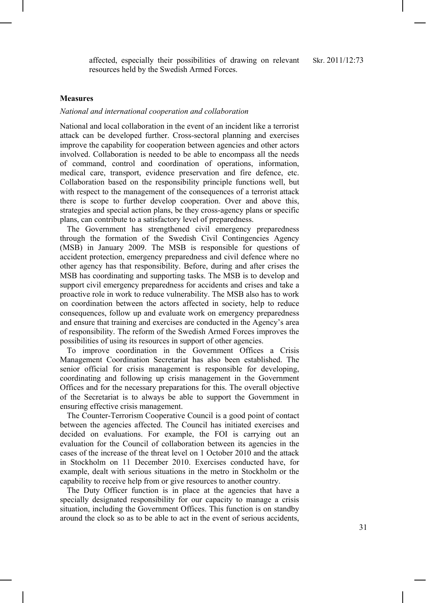affected, especially their possibilities of drawing on relevant Skr. 2011/12:73 resources held by the Swedish Armed Forces.

#### **Measures**

#### *National and international cooperation and collaboration*

National and local collaboration in the event of an incident like a terrorist attack can be developed further. Cross-sectoral planning and exercises improve the capability for cooperation between agencies and other actors involved. Collaboration is needed to be able to encompass all the needs of command, control and coordination of operations, information, medical care, transport, evidence preservation and fire defence, etc. Collaboration based on the responsibility principle functions well, but with respect to the management of the consequences of a terrorist attack there is scope to further develop cooperation. Over and above this, strategies and special action plans, be they cross-agency plans or specific plans, can contribute to a satisfactory level of preparedness.

The Government has strengthened civil emergency preparedness through the formation of the Swedish Civil Contingencies Agency (MSB) in January 2009. The MSB is responsible for questions of accident protection, emergency preparedness and civil defence where no other agency has that responsibility. Before, during and after crises the MSB has coordinating and supporting tasks. The MSB is to develop and support civil emergency preparedness for accidents and crises and take a proactive role in work to reduce vulnerability. The MSB also has to work on coordination between the actors affected in society, help to reduce consequences, follow up and evaluate work on emergency preparedness and ensure that training and exercises are conducted in the Agency's area of responsibility. The reform of the Swedish Armed Forces improves the possibilities of using its resources in support of other agencies.

To improve coordination in the Government Offices a Crisis Management Coordination Secretariat has also been established. The senior official for crisis management is responsible for developing, coordinating and following up crisis management in the Government Offices and for the necessary preparations for this. The overall objective of the Secretariat is to always be able to support the Government in ensuring effective crisis management.

The Counter-Terrorism Cooperative Council is a good point of contact between the agencies affected. The Council has initiated exercises and decided on evaluations. For example, the FOI is carrying out an evaluation for the Council of collaboration between its agencies in the cases of the increase of the threat level on 1 October 2010 and the attack in Stockholm on 11 December 2010. Exercises conducted have, for example, dealt with serious situations in the metro in Stockholm or the capability to receive help from or give resources to another country.

The Duty Officer function is in place at the agencies that have a specially designated responsibility for our capacity to manage a crisis situation, including the Government Offices. This function is on standby around the clock so as to be able to act in the event of serious accidents,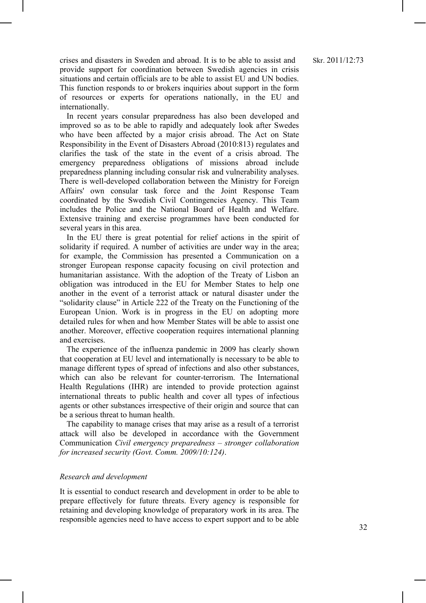crises and disasters in Sweden and abroad. It is to be able to assist and provide support for coordination between Swedish agencies in crisis situations and certain officials are to be able to assist EU and UN bodies. This function responds to or brokers inquiries about support in the form of resources or experts for operations nationally, in the EU and internationally.

In recent years consular preparedness has also been developed and improved so as to be able to rapidly and adequately look after Swedes who have been affected by a major crisis abroad. The Act on State Responsibility in the Event of Disasters Abroad (2010:813) regulates and clarifies the task of the state in the event of a crisis abroad. The emergency preparedness obligations of missions abroad include preparedness planning including consular risk and vulnerability analyses. There is well-developed collaboration between the Ministry for Foreign Affairs' own consular task force and the Joint Response Team coordinated by the Swedish Civil Contingencies Agency. This Team includes the Police and the National Board of Health and Welfare. Extensive training and exercise programmes have been conducted for several years in this area.

In the EU there is great potential for relief actions in the spirit of solidarity if required. A number of activities are under way in the area; for example, the Commission has presented a Communication on a stronger European response capacity focusing on civil protection and humanitarian assistance. With the adoption of the Treaty of Lisbon an obligation was introduced in the EU for Member States to help one another in the event of a terrorist attack or natural disaster under the "solidarity clause" in Article 222 of the Treaty on the Functioning of the European Union. Work is in progress in the EU on adopting more detailed rules for when and how Member States will be able to assist one another. Moreover, effective cooperation requires international planning and exercises.

The experience of the influenza pandemic in 2009 has clearly shown that cooperation at EU level and internationally is necessary to be able to manage different types of spread of infections and also other substances, which can also be relevant for counter-terrorism. The International Health Regulations (IHR) are intended to provide protection against international threats to public health and cover all types of infectious agents or other substances irrespective of their origin and source that can be a serious threat to human health.

The capability to manage crises that may arise as a result of a terrorist attack will also be developed in accordance with the Government Communication *Civil emergency preparedness – stronger collaboration for increased security (Govt. Comm. 2009/10:124)*.

#### *Research and development*

It is essential to conduct research and development in order to be able to prepare effectively for future threats. Every agency is responsible for retaining and developing knowledge of preparatory work in its area. The responsible agencies need to have access to expert support and to be able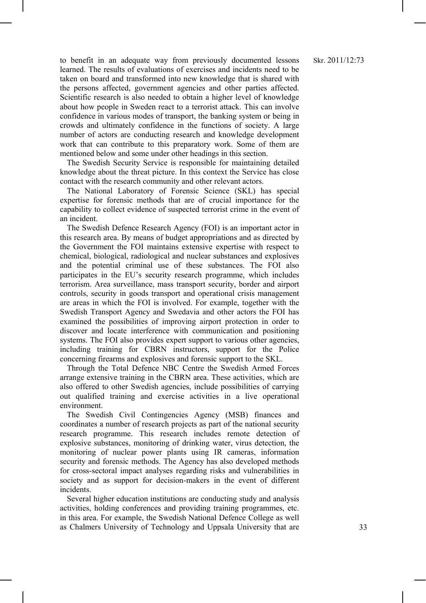to benefit in an adequate way from previously documented lessons learned. The results of evaluations of exercises and incidents need to be taken on board and transformed into new knowledge that is shared with the persons affected, government agencies and other parties affected. Scientific research is also needed to obtain a higher level of knowledge about how people in Sweden react to a terrorist attack. This can involve confidence in various modes of transport, the banking system or being in crowds and ultimately confidence in the functions of society. A large number of actors are conducting research and knowledge development work that can contribute to this preparatory work. Some of them are mentioned below and some under other headings in this section.

The Swedish Security Service is responsible for maintaining detailed knowledge about the threat picture. In this context the Service has close contact with the research community and other relevant actors.

The National Laboratory of Forensic Science (SKL) has special expertise for forensic methods that are of crucial importance for the capability to collect evidence of suspected terrorist crime in the event of an incident.

The Swedish Defence Research Agency (FOI) is an important actor in this research area. By means of budget appropriations and as directed by the Government the FOI maintains extensive expertise with respect to chemical, biological, radiological and nuclear substances and explosives and the potential criminal use of these substances. The FOI also participates in the EU's security research programme, which includes terrorism. Area surveillance, mass transport security, border and airport controls, security in goods transport and operational crisis management are areas in which the FOI is involved. For example, together with the Swedish Transport Agency and Swedavia and other actors the FOI has examined the possibilities of improving airport protection in order to discover and locate interference with communication and positioning systems. The FOI also provides expert support to various other agencies, including training for CBRN instructors, support for the Police concerning firearms and explosives and forensic support to the SKL.

Through the Total Defence NBC Centre the Swedish Armed Forces arrange extensive training in the CBRN area. These activities, which are also offered to other Swedish agencies, include possibilities of carrying out qualified training and exercise activities in a live operational environment.

The Swedish Civil Contingencies Agency (MSB) finances and coordinates a number of research projects as part of the national security research programme. This research includes remote detection of explosive substances, monitoring of drinking water, virus detection, the monitoring of nuclear power plants using IR cameras, information security and forensic methods. The Agency has also developed methods for cross-sectoral impact analyses regarding risks and vulnerabilities in society and as support for decision-makers in the event of different incidents.

Several higher education institutions are conducting study and analysis activities, holding conferences and providing training programmes, etc. in this area. For example, the Swedish National Defence College as well as Chalmers University of Technology and Uppsala University that are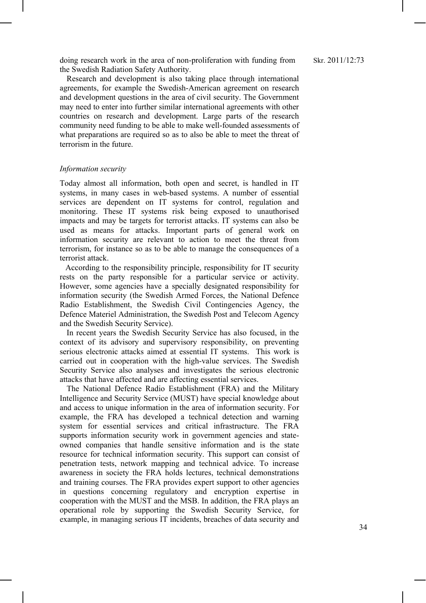doing research work in the area of non-proliferation with funding from the Swedish Radiation Safety Authority.

Research and development is also taking place through international agreements, for example the Swedish-American agreement on research and development questions in the area of civil security. The Government may need to enter into further similar international agreements with other countries on research and development. Large parts of the research community need funding to be able to make well-founded assessments of what preparations are required so as to also be able to meet the threat of terrorism in the future.

#### *Information security*

Today almost all information, both open and secret, is handled in IT systems, in many cases in web-based systems. A number of essential services are dependent on IT systems for control, regulation and monitoring. These IT systems risk being exposed to unauthorised impacts and may be targets for terrorist attacks. IT systems can also be used as means for attacks. Important parts of general work on information security are relevant to action to meet the threat from terrorism, for instance so as to be able to manage the consequences of a terrorist attack.

According to the responsibility principle, responsibility for IT security rests on the party responsible for a particular service or activity. However, some agencies have a specially designated responsibility for information security (the Swedish Armed Forces, the National Defence Radio Establishment, the Swedish Civil Contingencies Agency, the Defence Materiel Administration, the Swedish Post and Telecom Agency and the Swedish Security Service).

In recent years the Swedish Security Service has also focused, in the context of its advisory and supervisory responsibility, on preventing serious electronic attacks aimed at essential IT systems. This work is carried out in cooperation with the high-value services. The Swedish Security Service also analyses and investigates the serious electronic attacks that have affected and are affecting essential services.

The National Defence Radio Establishment (FRA) and the Military Intelligence and Security Service (MUST) have special knowledge about and access to unique information in the area of information security. For example, the FRA has developed a technical detection and warning system for essential services and critical infrastructure. The FRA supports information security work in government agencies and stateowned companies that handle sensitive information and is the state resource for technical information security. This support can consist of penetration tests, network mapping and technical advice. To increase awareness in society the FRA holds lectures, technical demonstrations and training courses. The FRA provides expert support to other agencies in questions concerning regulatory and encryption expertise in cooperation with the MUST and the MSB. In addition, the FRA plays an operational role by supporting the Swedish Security Service, for example, in managing serious IT incidents, breaches of data security and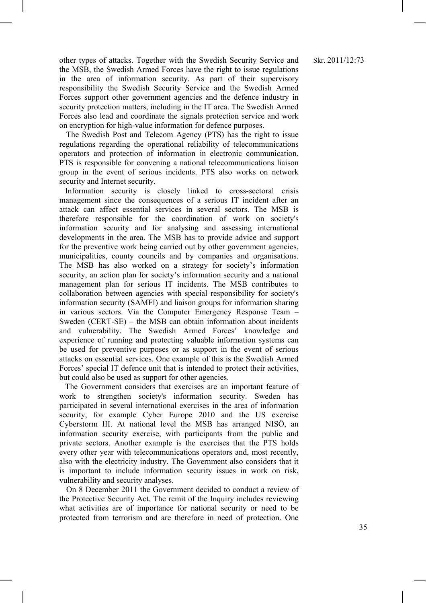other types of attacks. Together with the Swedish Security Service and the MSB, the Swedish Armed Forces have the right to issue regulations in the area of information security. As part of their supervisory responsibility the Swedish Security Service and the Swedish Armed Forces support other government agencies and the defence industry in security protection matters, including in the IT area. The Swedish Armed Forces also lead and coordinate the signals protection service and work on encryption for high-value information for defence purposes.

The Swedish Post and Telecom Agency (PTS) has the right to issue regulations regarding the operational reliability of telecommunications operators and protection of information in electronic communication. PTS is responsible for convening a national telecommunications liaison group in the event of serious incidents. PTS also works on network security and Internet security.

Information security is closely linked to cross-sectoral crisis management since the consequences of a serious IT incident after an attack can affect essential services in several sectors. The MSB is therefore responsible for the coordination of work on society's information security and for analysing and assessing international developments in the area. The MSB has to provide advice and support for the preventive work being carried out by other government agencies, municipalities, county councils and by companies and organisations. The MSB has also worked on a strategy for society's information security, an action plan for society's information security and a national management plan for serious IT incidents. The MSB contributes to collaboration between agencies with special responsibility for society's information security (SAMFI) and liaison groups for information sharing in various sectors. Via the Computer Emergency Response Team – Sweden (CERT-SE) – the MSB can obtain information about incidents and vulnerability. The Swedish Armed Forces' knowledge and experience of running and protecting valuable information systems can be used for preventive purposes or as support in the event of serious attacks on essential services. One example of this is the Swedish Armed Forces' special IT defence unit that is intended to protect their activities, but could also be used as support for other agencies.

The Government considers that exercises are an important feature of work to strengthen society's information security. Sweden has participated in several international exercises in the area of information security, for example Cyber Europe 2010 and the US exercise Cyberstorm III. At national level the MSB has arranged NISÖ, an information security exercise, with participants from the public and private sectors. Another example is the exercises that the PTS holds every other year with telecommunications operators and, most recently, also with the electricity industry. The Government also considers that it is important to include information security issues in work on risk, vulnerability and security analyses.

On 8 December 2011 the Government decided to conduct a review of the Protective Security Act. The remit of the Inquiry includes reviewing what activities are of importance for national security or need to be protected from terrorism and are therefore in need of protection. One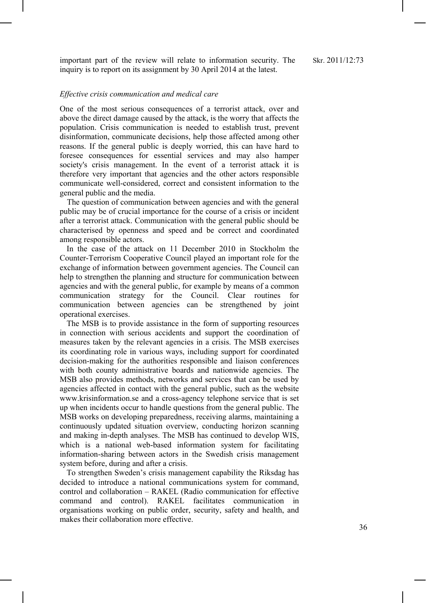important part of the review will relate to information security. The inquiry is to report on its assignment by 30 April 2014 at the latest.

#### *Effective crisis communication and medical care*

One of the most serious consequences of a terrorist attack, over and above the direct damage caused by the attack, is the worry that affects the population. Crisis communication is needed to establish trust, prevent disinformation, communicate decisions, help those affected among other reasons. If the general public is deeply worried, this can have hard to foresee consequences for essential services and may also hamper society's crisis management. In the event of a terrorist attack it is therefore very important that agencies and the other actors responsible communicate well-considered, correct and consistent information to the general public and the media.

The question of communication between agencies and with the general public may be of crucial importance for the course of a crisis or incident after a terrorist attack. Communication with the general public should be characterised by openness and speed and be correct and coordinated among responsible actors.

In the case of the attack on 11 December 2010 in Stockholm the Counter-Terrorism Cooperative Council played an important role for the exchange of information between government agencies. The Council can help to strengthen the planning and structure for communication between agencies and with the general public, for example by means of a common communication strategy for the Council. Clear routines for communication between agencies can be strengthened by joint operational exercises.

The MSB is to provide assistance in the form of supporting resources in connection with serious accidents and support the coordination of measures taken by the relevant agencies in a crisis. The MSB exercises its coordinating role in various ways, including support for coordinated decision-making for the authorities responsible and liaison conferences with both county administrative boards and nationwide agencies. The MSB also provides methods, networks and services that can be used by agencies affected in contact with the general public, such as the website www.krisinformation.se and a cross-agency telephone service that is set up when incidents occur to handle questions from the general public. The MSB works on developing preparedness, receiving alarms, maintaining a continuously updated situation overview, conducting horizon scanning and making in-depth analyses. The MSB has continued to develop WIS, which is a national web-based information system for facilitating information-sharing between actors in the Swedish crisis management system before, during and after a crisis.

To strengthen Sweden's crisis management capability the Riksdag has decided to introduce a national communications system for command, control and collaboration – RAKEL (Radio communication for effective command and control). RAKEL facilitates communication organisations working on public order, security, safety and health, and makes their collaboration more effective.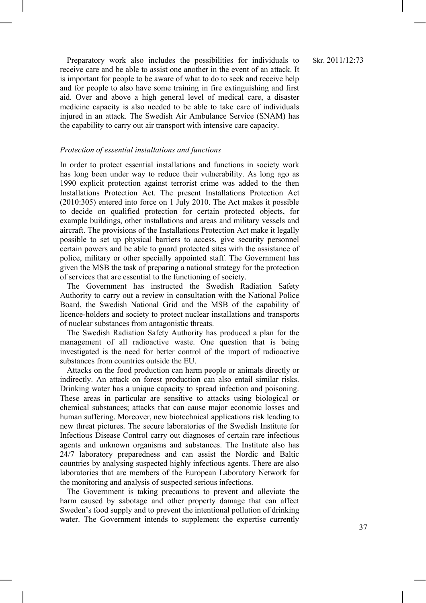Preparatory work also includes the possibilities for individuals to receive care and be able to assist one another in the event of an attack. It is important for people to be aware of what to do to seek and receive help and for people to also have some training in fire extinguishing and first aid. Over and above a high general level of medical care, a disaster medicine capacity is also needed to be able to take care of individuals injured in an attack. The Swedish Air Ambulance Service (SNAM) has the capability to carry out air transport with intensive care capacity.

#### *Protection of essential installations and functions*

In order to protect essential installations and functions in society work has long been under way to reduce their vulnerability. As long ago as 1990 explicit protection against terrorist crime was added to the then Installations Protection Act. The present Installations Protection Act (2010:305) entered into force on 1 July 2010. The Act makes it possible to decide on qualified protection for certain protected objects, for example buildings, other installations and areas and military vessels and aircraft. The provisions of the Installations Protection Act make it legally possible to set up physical barriers to access, give security personnel certain powers and be able to guard protected sites with the assistance of police, military or other specially appointed staff. The Government has given the MSB the task of preparing a national strategy for the protection of services that are essential to the functioning of society.

The Government has instructed the Swedish Radiation Safety Authority to carry out a review in consultation with the National Police Board, the Swedish National Grid and the MSB of the capability of licence-holders and society to protect nuclear installations and transports of nuclear substances from antagonistic threats.

The Swedish Radiation Safety Authority has produced a plan for the management of all radioactive waste. One question that is being investigated is the need for better control of the import of radioactive substances from countries outside the EU.

Attacks on the food production can harm people or animals directly or indirectly. An attack on forest production can also entail similar risks. Drinking water has a unique capacity to spread infection and poisoning. These areas in particular are sensitive to attacks using biological or chemical substances; attacks that can cause major economic losses and human suffering. Moreover, new biotechnical applications risk leading to new threat pictures. The secure laboratories of the Swedish Institute for Infectious Disease Control carry out diagnoses of certain rare infectious agents and unknown organisms and substances. The Institute also has 24/7 laboratory preparedness and can assist the Nordic and Baltic countries by analysing suspected highly infectious agents. There are also laboratories that are members of the European Laboratory Network for the monitoring and analysis of suspected serious infections.

The Government is taking precautions to prevent and alleviate the harm caused by sabotage and other property damage that can affect Sweden's food supply and to prevent the intentional pollution of drinking water. The Government intends to supplement the expertise currently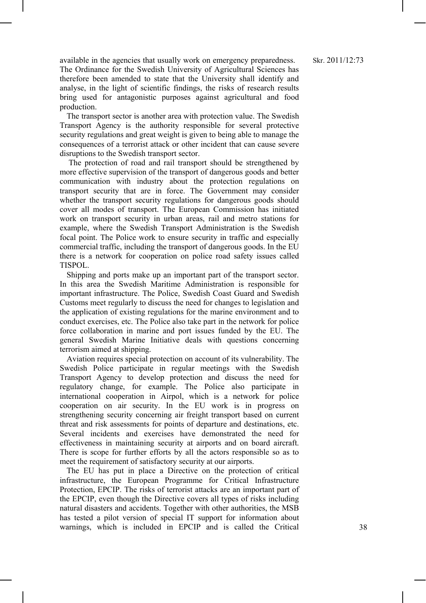available in the agencies that usually work on emergency preparedness. The Ordinance for the Swedish University of Agricultural Sciences has therefore been amended to state that the University shall identify and analyse, in the light of scientific findings, the risks of research results bring used for antagonistic purposes against agricultural and food production.

The transport sector is another area with protection value. The Swedish Transport Agency is the authority responsible for several protective security regulations and great weight is given to being able to manage the consequences of a terrorist attack or other incident that can cause severe disruptions to the Swedish transport sector.

The protection of road and rail transport should be strengthened by more effective supervision of the transport of dangerous goods and better communication with industry about the protection regulations on transport security that are in force. The Government may consider whether the transport security regulations for dangerous goods should cover all modes of transport. The European Commission has initiated work on transport security in urban areas, rail and metro stations for example, where the Swedish Transport Administration is the Swedish focal point. The Police work to ensure security in traffic and especially commercial traffic, including the transport of dangerous goods. In the EU there is a network for cooperation on police road safety issues called TISPOL.

Shipping and ports make up an important part of the transport sector. In this area the Swedish Maritime Administration is responsible for important infrastructure. The Police, Swedish Coast Guard and Swedish Customs meet regularly to discuss the need for changes to legislation and the application of existing regulations for the marine environment and to conduct exercises, etc. The Police also take part in the network for police force collaboration in marine and port issues funded by the EU. The general Swedish Marine Initiative deals with questions concerning terrorism aimed at shipping.

Aviation requires special protection on account of its vulnerability. The Swedish Police participate in regular meetings with the Swedish Transport Agency to develop protection and discuss the need for regulatory change, for example. The Police also participate in international cooperation in Airpol, which is a network for police cooperation on air security. In the EU work is in progress on strengthening security concerning air freight transport based on current threat and risk assessments for points of departure and destinations, etc. Several incidents and exercises have demonstrated the need for effectiveness in maintaining security at airports and on board aircraft. There is scope for further efforts by all the actors responsible so as to meet the requirement of satisfactory security at our airports.

The EU has put in place a Directive on the protection of critical infrastructure, the European Programme for Critical Infrastructure Protection, EPCIP. The risks of terrorist attacks are an important part of the EPCIP, even though the Directive covers all types of risks including natural disasters and accidents. Together with other authorities, the MSB has tested a pilot version of special IT support for information about warnings, which is included in EPCIP and is called the Critical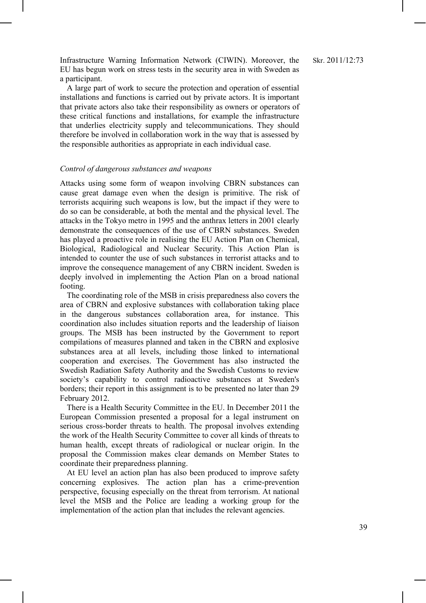Infrastructure Warning Information Network (CIWIN). Moreover, the EU has begun work on stress tests in the security area in with Sweden as a participant.

A large part of work to secure the protection and operation of essential installations and functions is carried out by private actors. It is important that private actors also take their responsibility as owners or operators of these critical functions and installations, for example the infrastructure that underlies electricity supply and telecommunications. They should therefore be involved in collaboration work in the way that is assessed by the responsible authorities as appropriate in each individual case.

#### *Control of dangerous substances and weapons*

Attacks using some form of weapon involving CBRN substances can cause great damage even when the design is primitive. The risk of terrorists acquiring such weapons is low, but the impact if they were to do so can be considerable, at both the mental and the physical level. The attacks in the Tokyo metro in 1995 and the anthrax letters in 2001 clearly demonstrate the consequences of the use of CBRN substances. Sweden has played a proactive role in realising the EU Action Plan on Chemical, Biological, Radiological and Nuclear Security. This Action Plan is intended to counter the use of such substances in terrorist attacks and to improve the consequence management of any CBRN incident. Sweden is deeply involved in implementing the Action Plan on a broad national footing.

The coordinating role of the MSB in crisis preparedness also covers the area of CBRN and explosive substances with collaboration taking place in the dangerous substances collaboration area, for instance. This coordination also includes situation reports and the leadership of liaison groups. The MSB has been instructed by the Government to report compilations of measures planned and taken in the CBRN and explosive substances area at all levels, including those linked to international cooperation and exercises. The Government has also instructed the Swedish Radiation Safety Authority and the Swedish Customs to review society's capability to control radioactive substances at Sweden's borders; their report in this assignment is to be presented no later than 29 February 2012.

There is a Health Security Committee in the EU. In December 2011 the European Commission presented a proposal for a legal instrument on serious cross-border threats to health. The proposal involves extending the work of the Health Security Committee to cover all kinds of threats to human health, except threats of radiological or nuclear origin. In the proposal the Commission makes clear demands on Member States to coordinate their preparedness planning.

At EU level an action plan has also been produced to improve safety concerning explosives. The action plan has a crime-prevention perspective, focusing especially on the threat from terrorism. At national level the MSB and the Police are leading a working group for the implementation of the action plan that includes the relevant agencies.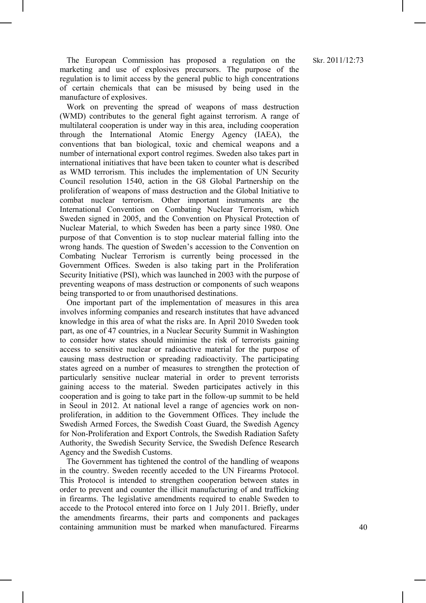The European Commission has proposed a regulation on the marketing and use of explosives precursors. The purpose of the regulation is to limit access by the general public to high concentrations of certain chemicals that can be misused by being used in the manufacture of explosives.

Work on preventing the spread of weapons of mass destruction (WMD) contributes to the general fight against terrorism. A range of multilateral cooperation is under way in this area, including cooperation through the International Atomic Energy Agency (IAEA), the conventions that ban biological, toxic and chemical weapons and a number of international export control regimes. Sweden also takes part in international initiatives that have been taken to counter what is described as WMD terrorism. This includes the implementation of UN Security Council resolution 1540, action in the G8 Global Partnership on the proliferation of weapons of mass destruction and the Global Initiative to combat nuclear terrorism. Other important instruments are the International Convention on Combating Nuclear Terrorism, which Sweden signed in 2005, and the Convention on Physical Protection of Nuclear Material, to which Sweden has been a party since 1980. One purpose of that Convention is to stop nuclear material falling into the wrong hands. The question of Sweden's accession to the Convention on Combating Nuclear Terrorism is currently being processed in the Government Offices. Sweden is also taking part in the Proliferation Security Initiative (PSI), which was launched in 2003 with the purpose of preventing weapons of mass destruction or components of such weapons being transported to or from unauthorised destinations.

One important part of the implementation of measures in this area involves informing companies and research institutes that have advanced knowledge in this area of what the risks are. In April 2010 Sweden took part, as one of 47 countries, in a Nuclear Security Summit in Washington to consider how states should minimise the risk of terrorists gaining access to sensitive nuclear or radioactive material for the purpose of causing mass destruction or spreading radioactivity. The participating states agreed on a number of measures to strengthen the protection of particularly sensitive nuclear material in order to prevent terrorists gaining access to the material. Sweden participates actively in this cooperation and is going to take part in the follow-up summit to be held in Seoul in 2012. At national level a range of agencies work on nonproliferation, in addition to the Government Offices. They include the Swedish Armed Forces, the Swedish Coast Guard, the Swedish Agency for Non-Proliferation and Export Controls, the Swedish Radiation Safety Authority, the Swedish Security Service, the Swedish Defence Research Agency and the Swedish Customs.

The Government has tightened the control of the handling of weapons in the country. Sweden recently acceded to the UN Firearms Protocol. This Protocol is intended to strengthen cooperation between states in order to prevent and counter the illicit manufacturing of and trafficking in firearms. The legislative amendments required to enable Sweden to accede to the Protocol entered into force on 1 July 2011. Briefly, under the amendments firearms, their parts and components and packages containing ammunition must be marked when manufactured. Firearms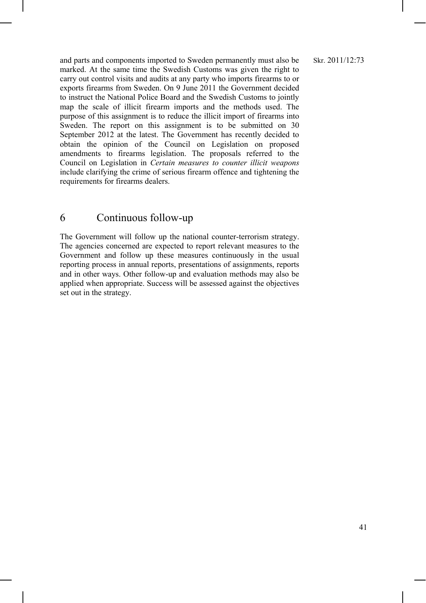and parts and components imported to Sweden permanently must also be marked. At the same time the Swedish Customs was given the right to carry out control visits and audits at any party who imports firearms to or exports firearms from Sweden. On 9 June 2011 the Government decided to instruct the National Police Board and the Swedish Customs to jointly map the scale of illicit firearm imports and the methods used. The purpose of this assignment is to reduce the illicit import of firearms into Sweden. The report on this assignment is to be submitted on 30 September 2012 at the latest. The Government has recently decided to obtain the opinion of the Council on Legislation on proposed amendments to firearms legislation. The proposals referred to the Council on Legislation in *Certain measures to counter illicit weapons* include clarifying the crime of serious firearm offence and tightening the requirements for firearms dealers.

## 6 Continuous follow-up

The Government will follow up the national counter-terrorism strategy. The agencies concerned are expected to report relevant measures to the Government and follow up these measures continuously in the usual reporting process in annual reports, presentations of assignments, reports and in other ways. Other follow-up and evaluation methods may also be applied when appropriate. Success will be assessed against the objectives set out in the strategy.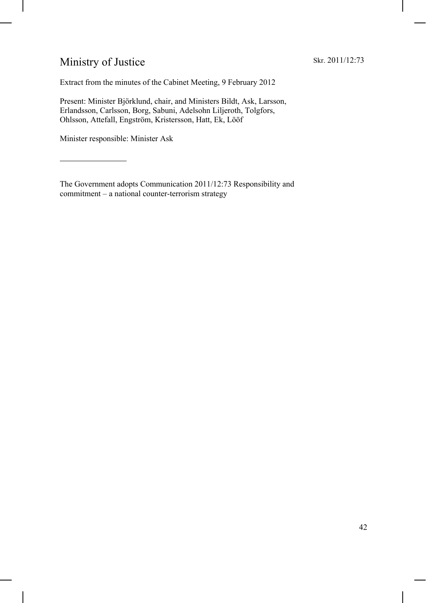## Ministry of Justice

Extract from the minutes of the Cabinet Meeting, 9 February 2012

Present: Minister Björklund, chair, and Ministers Bildt, Ask, Larsson, Erlandsson, Carlsson, Borg, Sabuni, Adelsohn Liljeroth, Tolgfors, Ohlsson, Attefall, Engström, Kristersson, Hatt, Ek, Lööf

Minister responsible: Minister Ask

 $\overline{a}$ 

The Government adopts Communication 2011/12:73 Responsibility and commitment – a national counter-terrorism strategy